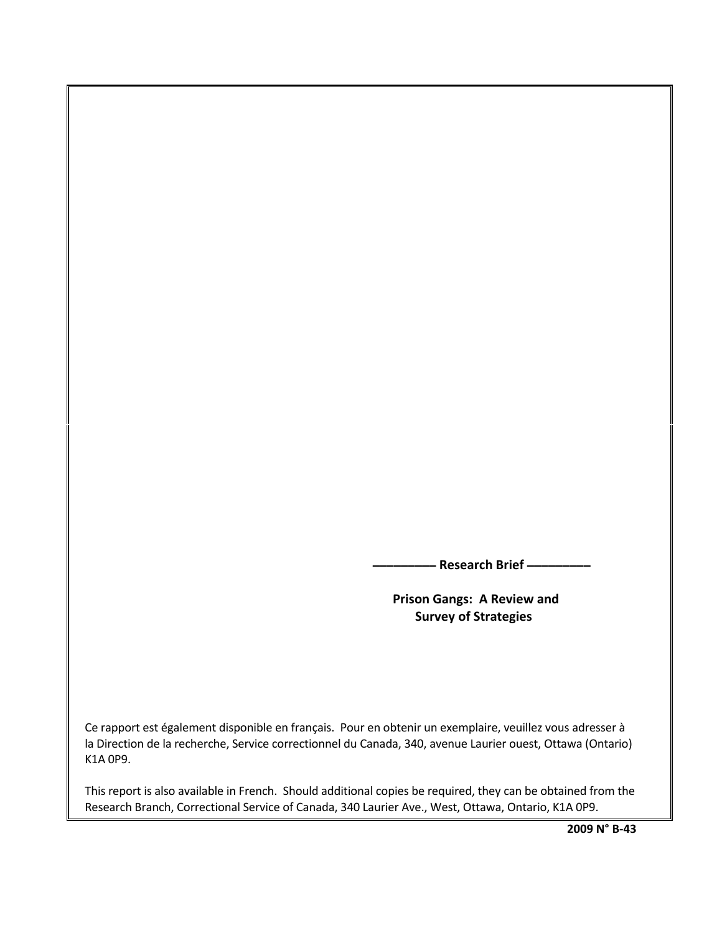**\_\_\_\_\_\_\_\_\_ Research Brief \_\_\_\_\_\_\_\_\_**

 **Prison Gangs: A Review and Survey of Strategies**

Ce rapport est également disponible en français. Pour en obtenir un exemplaire, veuillez vous adresser à la Direction de la recherche, Service correctionnel du Canada, 340, avenue Laurier ouest, Ottawa (Ontario) K1A 0P9.

This report is also available in French. Should additional copies be required, they can be obtained from the Research Branch, Correctional Service of Canada, 340 Laurier Ave., West, Ottawa, Ontario, K1A 0P9.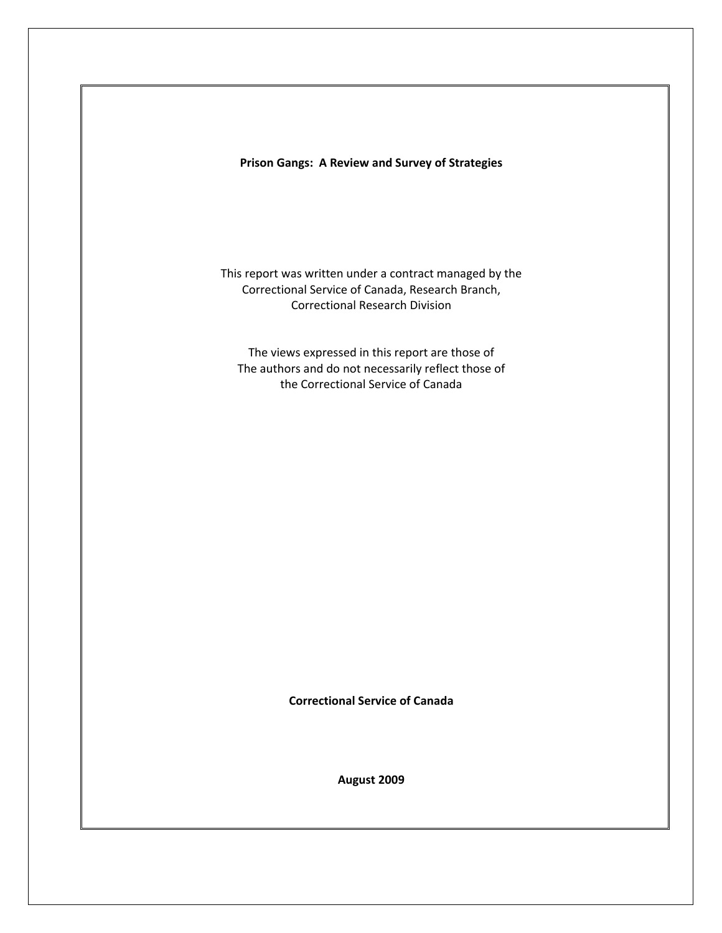**Prison Gangs: A Review and Survey of Strategies**

This report was written under a contract managed by the Correctional Service of Canada, Research Branch, Correctional Research Division

The views expressed in this report are those of The authors and do not necessarily reflect those of the Correctional Service of Canada

**Correctional Service of Canada** 

**August 2009**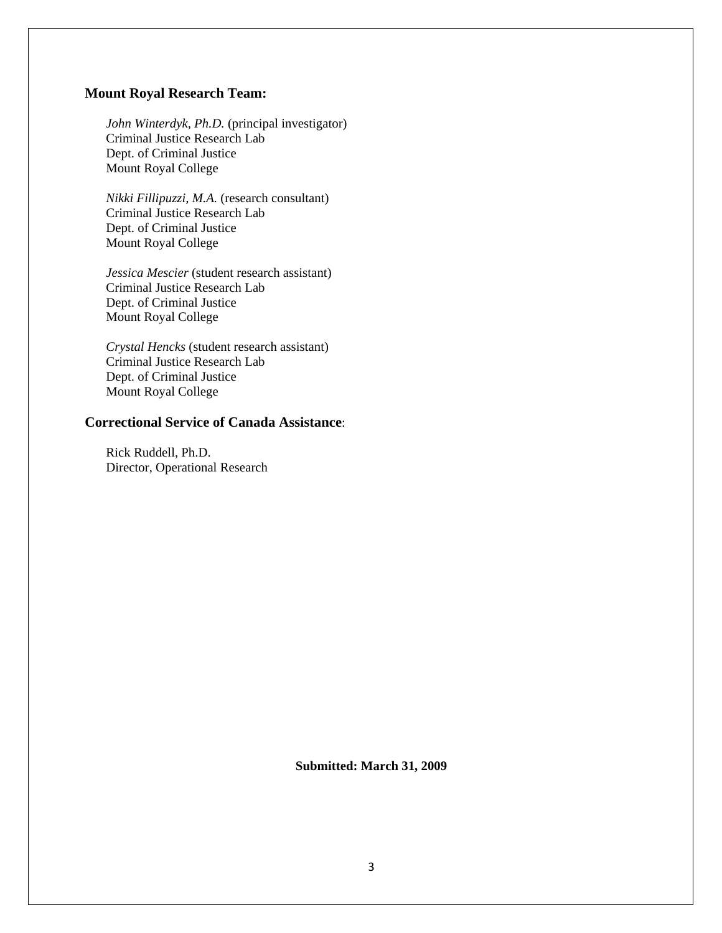# **Mount Royal Research Team:**

*John Winterdyk, Ph.D.* (principal investigator) Criminal Justice Research Lab Dept. of Criminal Justice Mount Royal College

*Nikki Fillipuzzi, M.A.* (research consultant) Criminal Justice Research Lab Dept. of Criminal Justice Mount Royal College

*Jessica Mescier* (student research assistant) Criminal Justice Research Lab Dept. of Criminal Justice Mount Royal College

*Crystal Hencks* (student research assistant) Criminal Justice Research Lab Dept. of Criminal Justice Mount Royal College

# **Correctional Service of Canada Assistance**:

Rick Ruddell, Ph.D. Director, Operational Research

**Submitted: March 31, 2009**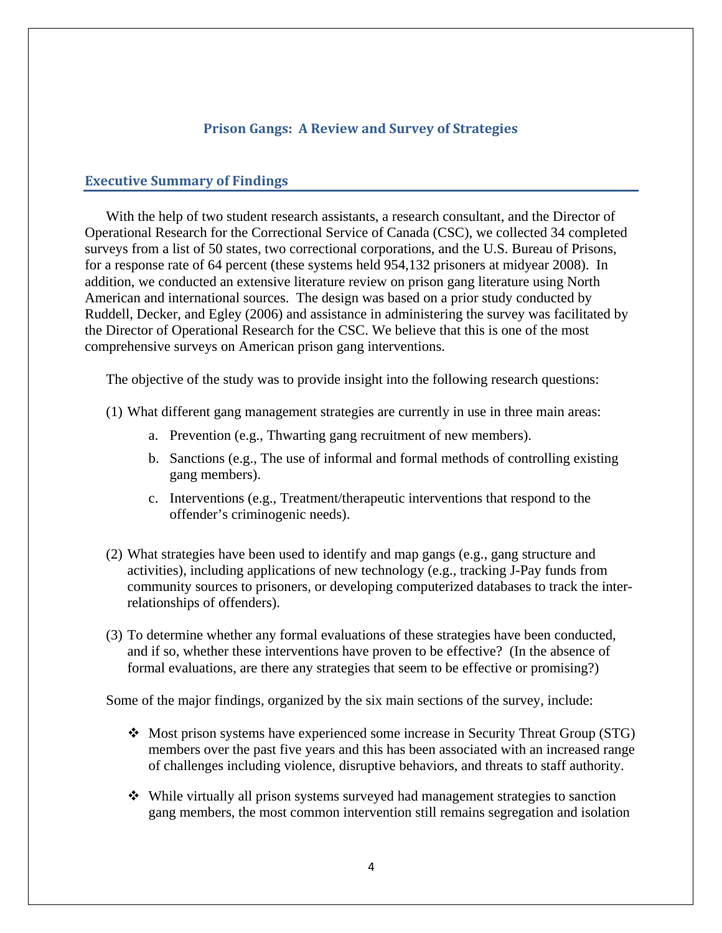# **Prison Gangs: A Review and Survey of Strategies**

## <span id="page-3-0"></span>**Executive Summary of Findings**

With the help of two student research assistants, a research consultant, and the Director of Operational Research for the Correctional Service of Canada (CSC), we collected 34 completed surveys from a list of 50 states, two correctional corporations, and the U.S. Bureau of Prisons, for a response rate of 64 percent (these systems held 954,132 prisoners at midyear 2008). In addition, we conducted an extensive literature review on prison gang literature using North American and international sources. The design was based on a prior study conducted by Ruddell, Decker, and Egley (2006) and assistance in administering the survey was facilitated by the Director of Operational Research for the CSC. We believe that this is one of the most comprehensive surveys on American prison gang interventions.

The objective of the study was to provide insight into the following research questions:

- (1) What different gang management strategies are currently in use in three main areas:
	- a. Prevention (e.g., Thwarting gang recruitment of new members).
	- b. Sanctions (e.g., The use of informal and formal methods of controlling existing gang members).
	- c. Interventions (e.g., Treatment/therapeutic interventions that respond to the offender's criminogenic needs).
- (2) What strategies have been used to identify and map gangs (e.g., gang structure and activities), including applications of new technology (e.g., tracking J-Pay funds from community sources to prisoners, or developing computerized databases to track the interrelationships of offenders).
- (3) To determine whether any formal evaluations of these strategies have been conducted, and if so, whether these interventions have proven to be effective? (In the absence of formal evaluations, are there any strategies that seem to be effective or promising?)

Some of the major findings, organized by the six main sections of the survey, include:

- Most prison systems have experienced some increase in Security Threat Group (STG) members over the past five years and this has been associated with an increased range of challenges including violence, disruptive behaviors, and threats to staff authority.
- While virtually all prison systems surveyed had management strategies to sanction gang members, the most common intervention still remains segregation and isolation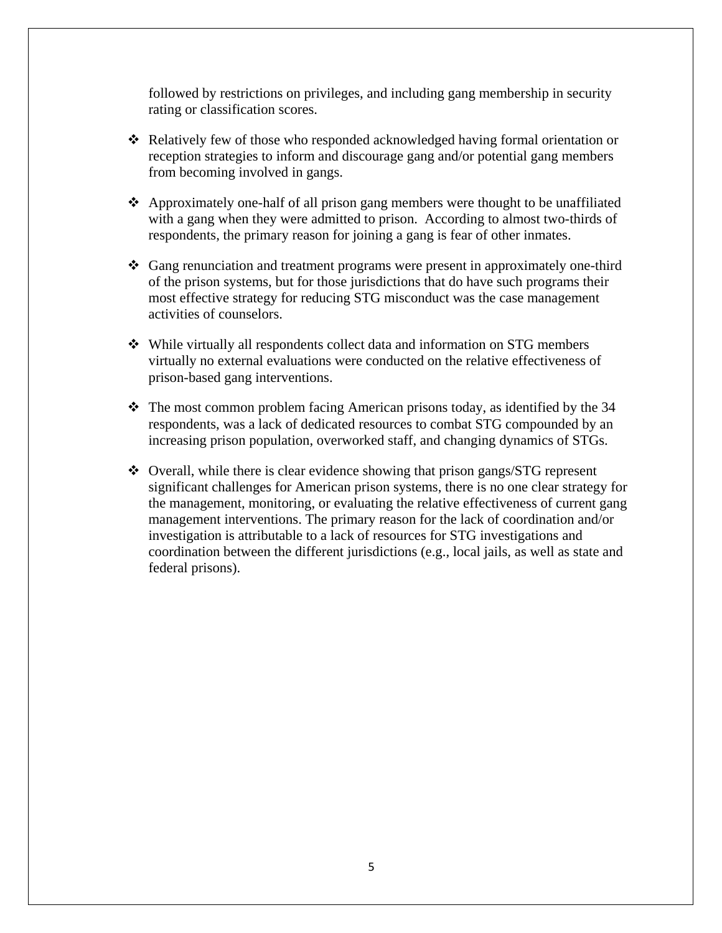followed by restrictions on privileges, and including gang membership in security rating or classification scores.

- Relatively few of those who responded acknowledged having formal orientation or reception strategies to inform and discourage gang and/or potential gang members from becoming involved in gangs.
- $\triangle$  Approximately one-half of all prison gang members were thought to be unaffiliated with a gang when they were admitted to prison. According to almost two-thirds of respondents, the primary reason for joining a gang is fear of other inmates.
- Gang renunciation and treatment programs were present in approximately one-third of the prison systems, but for those jurisdictions that do have such programs their most effective strategy for reducing STG misconduct was the case management activities of counselors.
- While virtually all respondents collect data and information on STG members virtually no external evaluations were conducted on the relative effectiveness of prison-based gang interventions.
- The most common problem facing American prisons today, as identified by the 34 respondents, was a lack of dedicated resources to combat STG compounded by an increasing prison population, overworked staff, and changing dynamics of STGs.
- Overall, while there is clear evidence showing that prison gangs/STG represent significant challenges for American prison systems, there is no one clear strategy for the management, monitoring, or evaluating the relative effectiveness of current gang management interventions. The primary reason for the lack of coordination and/or investigation is attributable to a lack of resources for STG investigations and coordination between the different jurisdictions (e.g., local jails, as well as state and federal prisons).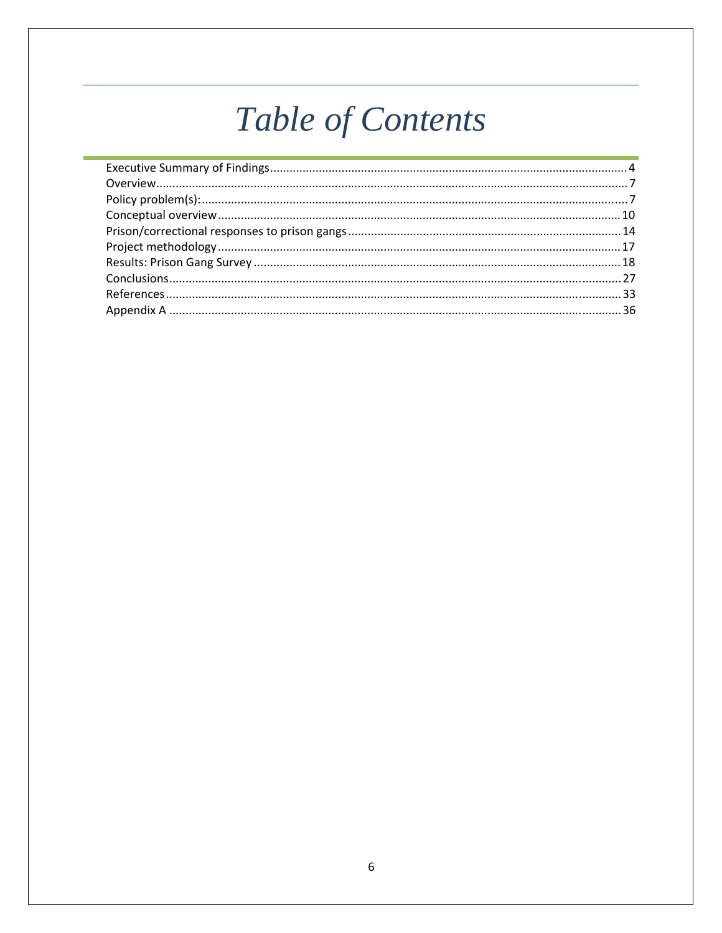# Table of Contents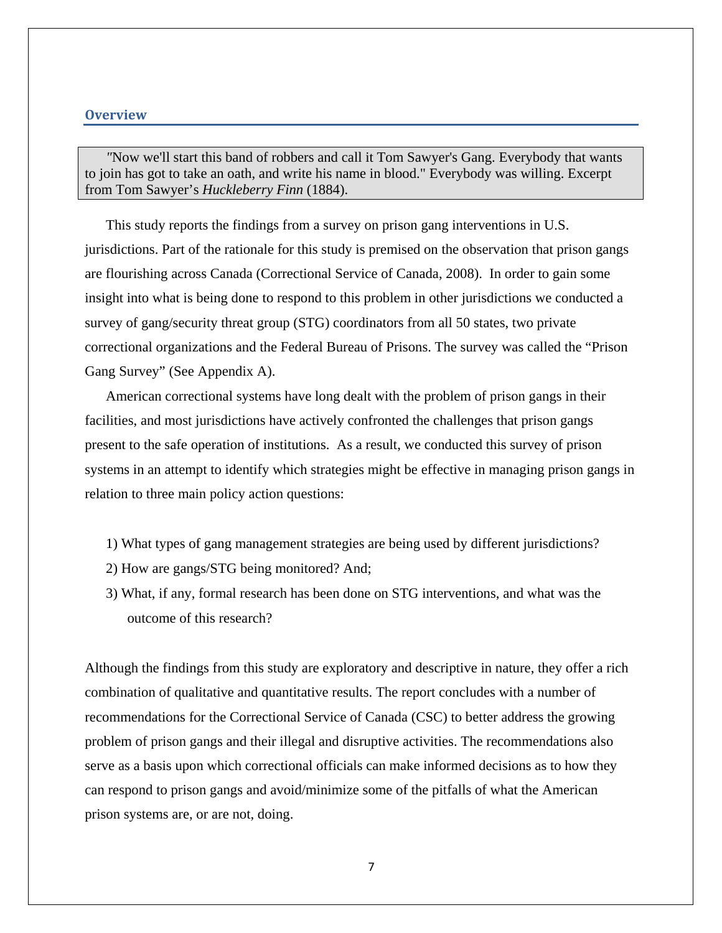## <span id="page-6-0"></span>**Overview**

*"*Now we'll start this band of robbers and call it Tom Sawyer's Gang. Everybody that wants to join has got to take an oath, and write his name in blood." Everybody was willing. Excerpt from Tom Sawyer's *Huckleberry Finn* (1884).

This study reports the findings from a survey on prison gang interventions in U.S. jurisdictions. Part of the rationale for this study is premised on the observation that prison gangs are flourishing across Canada (Correctional Service of Canada, 2008). In order to gain some insight into what is being done to respond to this problem in other jurisdictions we conducted a survey of gang/security threat group (STG) coordinators from all 50 states, two private correctional organizations and the Federal Bureau of Prisons. The survey was called the "Prison Gang Survey" (See Appendix A).

American correctional systems have long dealt with the problem of prison gangs in their facilities, and most jurisdictions have actively confronted the challenges that prison gangs present to the safe operation of institutions. As a result, we conducted this survey of prison systems in an attempt to identify which strategies might be effective in managing prison gangs in relation to three main policy action questions:

- 1) What types of gang management strategies are being used by different jurisdictions?
- 2) How are gangs/STG being monitored? And;
- 3) What, if any, formal research has been done on STG interventions, and what was the outcome of this research?

Although the findings from this study are exploratory and descriptive in nature, they offer a rich combination of qualitative and quantitative results. The report concludes with a number of recommendations for the Correctional Service of Canada (CSC) to better address the growing problem of prison gangs and their illegal and disruptive activities. The recommendations also serve as a basis upon which correctional officials can make informed decisions as to how they can respond to prison gangs and avoid/minimize some of the pitfalls of what the American prison systems are, or are not, doing.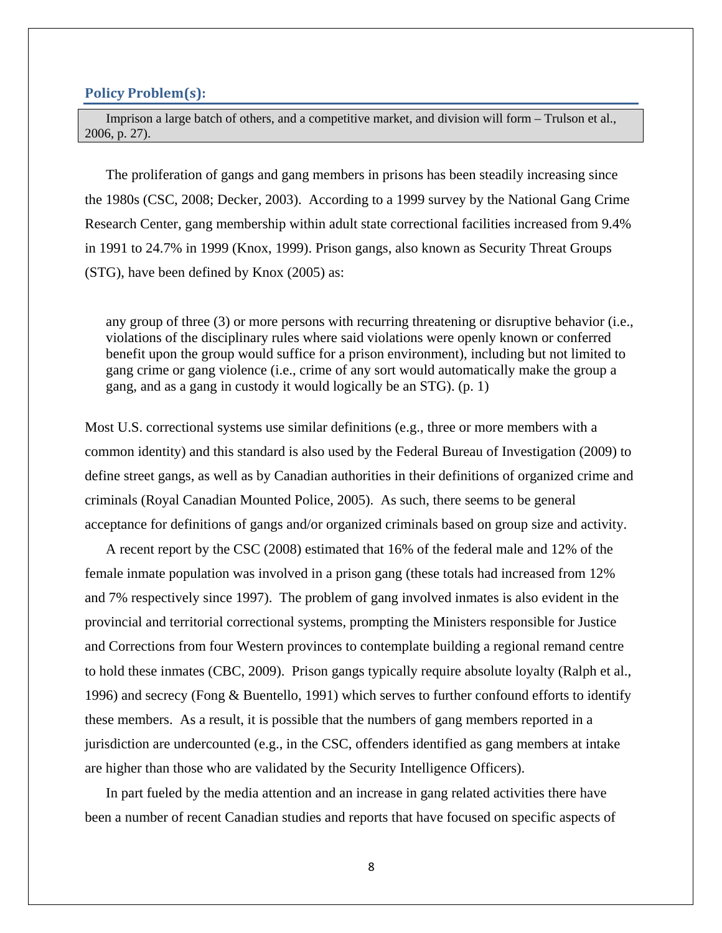#### <span id="page-7-0"></span>**Policy Problem(s):**

Imprison a large batch of others, and a competitive market, and division will form – Trulson et al., 2006, p. 27).

The proliferation of gangs and gang members in prisons has been steadily increasing since the 1980s (CSC, 2008; Decker, 2003). According to a 1999 survey by the National Gang Crime Research Center, gang membership within adult state correctional facilities increased from 9.4% in 1991 to 24.7% in 1999 (Knox, 1999). Prison gangs, also known as Security Threat Groups (STG), have been defined by Knox (2005) as:

any group of three (3) or more persons with recurring threatening or disruptive behavior (i.e., violations of the disciplinary rules where said violations were openly known or conferred benefit upon the group would suffice for a prison environment), including but not limited to gang crime or gang violence (i.e., crime of any sort would automatically make the group a gang, and as a gang in custody it would logically be an STG). (p. 1)

Most U.S. correctional systems use similar definitions (e.g., three or more members with a common identity) and this standard is also used by the Federal Bureau of Investigation (2009) to define street gangs, as well as by Canadian authorities in their definitions of organized crime and criminals (Royal Canadian Mounted Police, 2005). As such, there seems to be general acceptance for definitions of gangs and/or organized criminals based on group size and activity.

A recent report by the CSC (2008) estimated that 16% of the federal male and 12% of the female inmate population was involved in a prison gang (these totals had increased from 12% and 7% respectively since 1997). The problem of gang involved inmates is also evident in the provincial and territorial correctional systems, prompting the Ministers responsible for Justice and Corrections from four Western provinces to contemplate building a regional remand centre to hold these inmates (CBC, 2009). Prison gangs typically require absolute loyalty (Ralph et al., 1996) and secrecy (Fong & Buentello, 1991) which serves to further confound efforts to identify these members. As a result, it is possible that the numbers of gang members reported in a jurisdiction are undercounted (e.g., in the CSC, offenders identified as gang members at intake are higher than those who are validated by the Security Intelligence Officers).

In part fueled by the media attention and an increase in gang related activities there have been a number of recent Canadian studies and reports that have focused on specific aspects of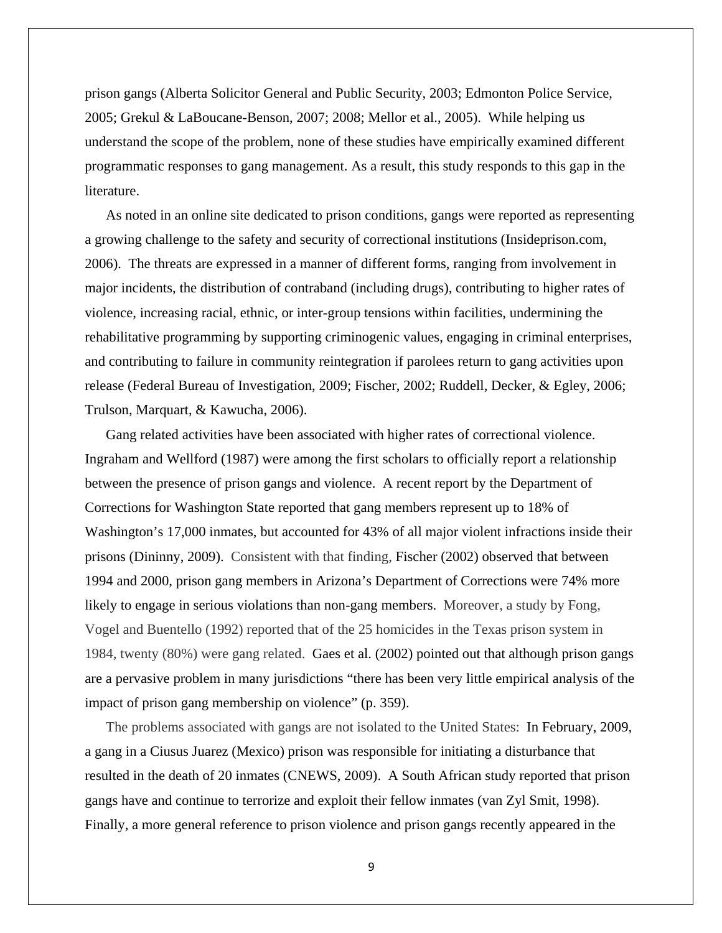prison gangs (Alberta Solicitor General and Public Security, 2003; Edmonton Police Service, 2005; Grekul & LaBoucane-Benson, 2007; 2008; Mellor et al., 2005). While helping us understand the scope of the problem, none of these studies have empirically examined different programmatic responses to gang management. As a result, this study responds to this gap in the literature.

As noted in an online site dedicated to prison conditions, gangs were reported as representing a growing challenge to the safety and security of correctional institutions (Insideprison.com, 2006). The threats are expressed in a manner of different forms, ranging from involvement in major incidents, the distribution of contraband (including drugs), contributing to higher rates of violence, increasing racial, ethnic, or inter-group tensions within facilities, undermining the rehabilitative programming by supporting criminogenic values, engaging in criminal enterprises, and contributing to failure in community reintegration if parolees return to gang activities upon release (Federal Bureau of Investigation, 2009; Fischer, 2002; Ruddell, Decker, & Egley, 2006; Trulson, Marquart, & Kawucha, 2006).

Gang related activities have been associated with higher rates of correctional violence. Ingraham and Wellford (1987) were among the first scholars to officially report a relationship between the presence of prison gangs and violence. A recent report by the Department of Corrections for Washington State reported that gang members represent up to 18% of Washington's 17,000 inmates, but accounted for 43% of all major violent infractions inside their prisons (Dininny, 2009). Consistent with that finding, Fischer (2002) observed that between 1994 and 2000, prison gang members in Arizona's Department of Corrections were 74% more likely to engage in serious violations than non-gang members. Moreover, a study by Fong, Vogel and Buentello (1992) reported that of the 25 homicides in the Texas prison system in 1984, twenty (80%) were gang related. Gaes et al. (2002) pointed out that although prison gangs are a pervasive problem in many jurisdictions "there has been very little empirical analysis of the impact of prison gang membership on violence" (p. 359).

The problems associated with gangs are not isolated to the United States: In February, 2009, a gang in a Ciusus Juarez (Mexico) prison was responsible for initiating a disturbance that resulted in the death of 20 inmates (CNEWS, 2009). A South African study reported that prison gangs have and continue to terrorize and exploit their fellow inmates (van Zyl Smit, 1998). Finally, a more general reference to prison violence and prison gangs recently appeared in the

9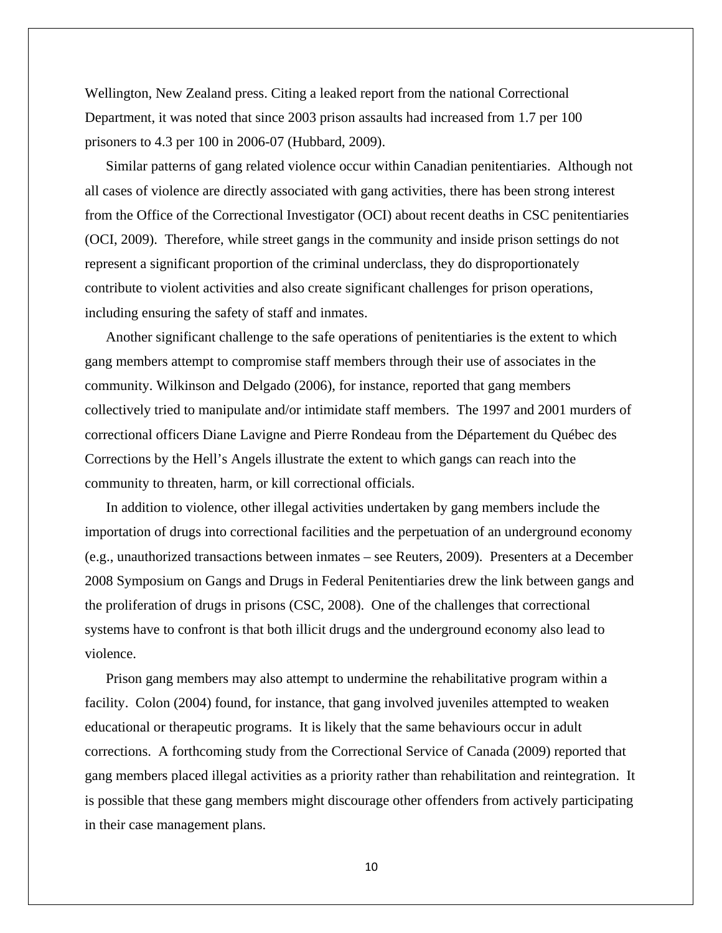Wellington, New Zealand press. Citing a leaked report from the national Correctional Department, it was noted that since 2003 prison assaults had increased from 1.7 per 100 prisoners to 4.3 per 100 in 2006-07 (Hubbard, 2009).

Similar patterns of gang related violence occur within Canadian penitentiaries. Although not all cases of violence are directly associated with gang activities, there has been strong interest from the Office of the Correctional Investigator (OCI) about recent deaths in CSC penitentiaries (OCI, 2009). Therefore, while street gangs in the community and inside prison settings do not represent a significant proportion of the criminal underclass, they do disproportionately contribute to violent activities and also create significant challenges for prison operations, including ensuring the safety of staff and inmates.

Another significant challenge to the safe operations of penitentiaries is the extent to which gang members attempt to compromise staff members through their use of associates in the community. Wilkinson and Delgado (2006), for instance, reported that gang members collectively tried to manipulate and/or intimidate staff members. The 1997 and 2001 murders of correctional officers Diane Lavigne and Pierre Rondeau from the Département du Québec des Corrections by the Hell's Angels illustrate the extent to which gangs can reach into the community to threaten, harm, or kill correctional officials.

In addition to violence, other illegal activities undertaken by gang members include the importation of drugs into correctional facilities and the perpetuation of an underground economy (e.g., unauthorized transactions between inmates – see Reuters, 2009). Presenters at a December 2008 Symposium on Gangs and Drugs in Federal Penitentiaries drew the link between gangs and the proliferation of drugs in prisons (CSC, 2008). One of the challenges that correctional systems have to confront is that both illicit drugs and the underground economy also lead to violence.

Prison gang members may also attempt to undermine the rehabilitative program within a facility. Colon (2004) found, for instance, that gang involved juveniles attempted to weaken educational or therapeutic programs. It is likely that the same behaviours occur in adult corrections. A forthcoming study from the Correctional Service of Canada (2009) reported that gang members placed illegal activities as a priority rather than rehabilitation and reintegration. It is possible that these gang members might discourage other offenders from actively participating in their case management plans.

10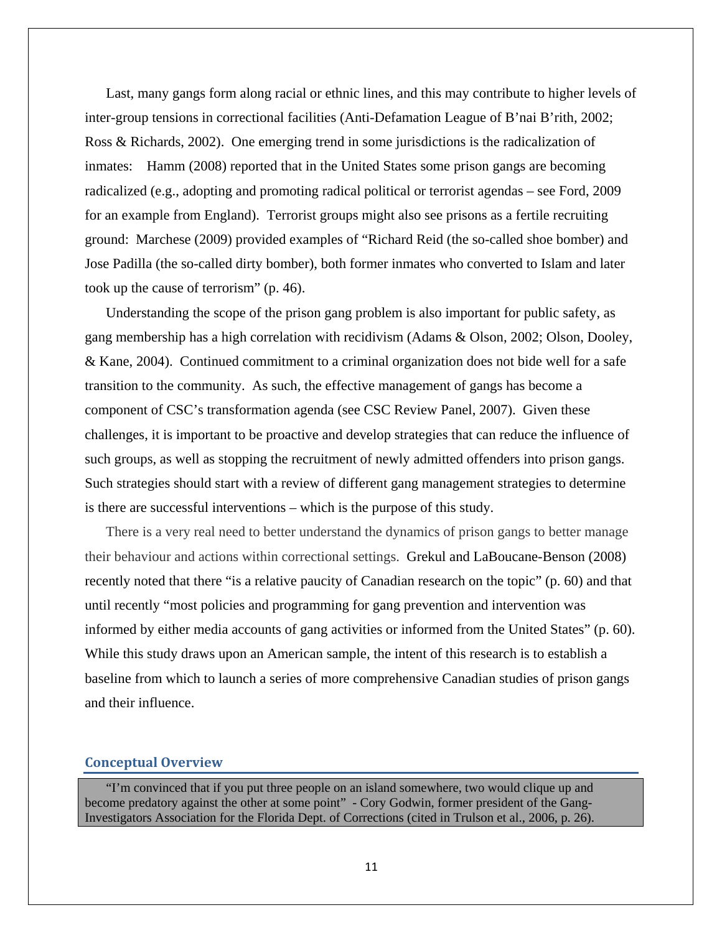<span id="page-10-0"></span>Last, many gangs form along racial or ethnic lines, and this may contribute to higher levels of inter-group tensions in correctional facilities (Anti-Defamation League of B'nai B'rith, 2002; Ross & Richards, 2002). One emerging trend in some jurisdictions is the radicalization of inmates: Hamm (2008) reported that in the United States some prison gangs are becoming radicalized (e.g., adopting and promoting radical political or terrorist agendas – see Ford, 2009 for an example from England). Terrorist groups might also see prisons as a fertile recruiting ground: Marchese (2009) provided examples of "Richard Reid (the so-called shoe bomber) and Jose Padilla (the so-called dirty bomber), both former inmates who converted to Islam and later took up the cause of terrorism" (p. 46).

Understanding the scope of the prison gang problem is also important for public safety, as gang membership has a high correlation with recidivism (Adams & Olson, 2002; Olson, Dooley, & Kane, 2004). Continued commitment to a criminal organization does not bide well for a safe transition to the community. As such, the effective management of gangs has become a component of CSC's transformation agenda (see CSC Review Panel, 2007). Given these challenges, it is important to be proactive and develop strategies that can reduce the influence of such groups, as well as stopping the recruitment of newly admitted offenders into prison gangs. Such strategies should start with a review of different gang management strategies to determine is there are successful interventions – which is the purpose of this study.

There is a very real need to better understand the dynamics of prison gangs to better manage their behaviour and actions within correctional settings. Grekul and LaBoucane-Benson (2008) recently noted that there "is a relative paucity of Canadian research on the topic" (p. 60) and that until recently "most policies and programming for gang prevention and intervention was informed by either media accounts of gang activities or informed from the United States" (p. 60). While this study draws upon an American sample, the intent of this research is to establish a baseline from which to launch a series of more comprehensive Canadian studies of prison gangs and their influence.

#### **Conceptual Overview**

"I'm convinced that if you put three people on an island somewhere, two would clique up and become predatory against the other at some point" - Cory Godwin, former president of the Gang-Investigators Association for the Florida Dept. of Corrections (cited in Trulson et al., 2006, p. 26).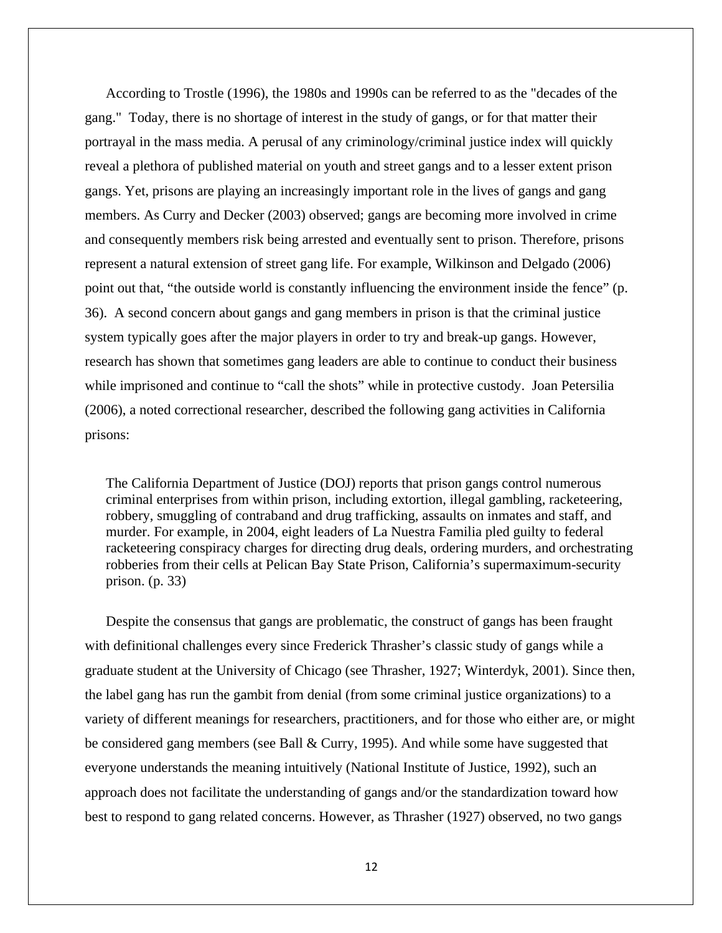According to Trostle (1996), the 1980s and 1990s can be referred to as the "decades of the gang." Today, there is no shortage of interest in the study of gangs, or for that matter their portrayal in the mass media. A perusal of any criminology/criminal justice index will quickly reveal a plethora of published material on youth and street gangs and to a lesser extent prison gangs. Yet, prisons are playing an increasingly important role in the lives of gangs and gang members. As Curry and Decker (2003) observed; gangs are becoming more involved in crime and consequently members risk being arrested and eventually sent to prison. Therefore, prisons represent a natural extension of street gang life. For example, Wilkinson and Delgado (2006) point out that, "the outside world is constantly influencing the environment inside the fence" (p. 36). A second concern about gangs and gang members in prison is that the criminal justice system typically goes after the major players in order to try and break-up gangs. However, research has shown that sometimes gang leaders are able to continue to conduct their business while imprisoned and continue to "call the shots" while in protective custody. Joan Petersilia (2006), a noted correctional researcher, described the following gang activities in California prisons:

The California Department of Justice (DOJ) reports that prison gangs control numerous criminal enterprises from within prison, including extortion, illegal gambling, racketeering, robbery, smuggling of contraband and drug trafficking, assaults on inmates and staff, and murder. For example, in 2004, eight leaders of La Nuestra Familia pled guilty to federal racketeering conspiracy charges for directing drug deals, ordering murders, and orchestrating robberies from their cells at Pelican Bay State Prison, California's supermaximum-security prison. (p. 33)

Despite the consensus that gangs are problematic, the construct of gangs has been fraught with definitional challenges every since Frederick Thrasher's classic study of gangs while a graduate student at the University of Chicago (see Thrasher, 1927; Winterdyk, 2001). Since then, the label gang has run the gambit from denial (from some criminal justice organizations) to a variety of different meanings for researchers, practitioners, and for those who either are, or might be considered gang members (see Ball & Curry, 1995). And while some have suggested that everyone understands the meaning intuitively (National Institute of Justice, 1992), such an approach does not facilitate the understanding of gangs and/or the standardization toward how best to respond to gang related concerns. However, as Thrasher (1927) observed, no two gangs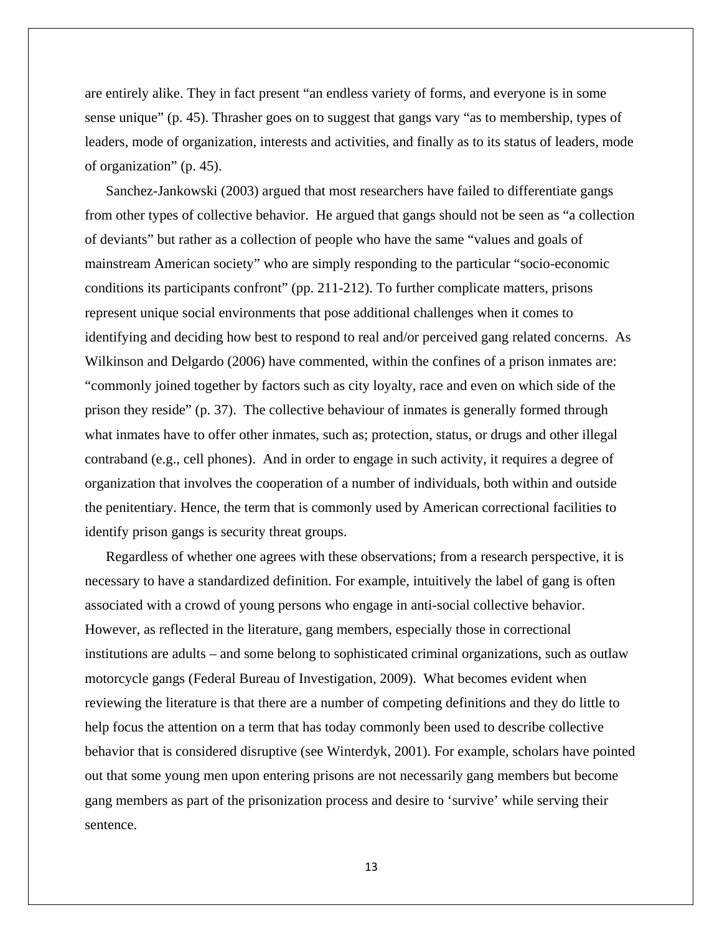are entirely alike. They in fact present "an endless variety of forms, and everyone is in some sense unique" (p. 45). Thrasher goes on to suggest that gangs vary "as to membership, types of leaders, mode of organization, interests and activities, and finally as to its status of leaders, mode of organization" (p. 45).

Sanchez-Jankowski (2003) argued that most researchers have failed to differentiate gangs from other types of collective behavior. He argued that gangs should not be seen as "a collection of deviants" but rather as a collection of people who have the same "values and goals of mainstream American society" who are simply responding to the particular "socio-economic conditions its participants confront" (pp. 211-212). To further complicate matters, prisons represent unique social environments that pose additional challenges when it comes to identifying and deciding how best to respond to real and/or perceived gang related concerns. As Wilkinson and Delgardo (2006) have commented, within the confines of a prison inmates are: "commonly joined together by factors such as city loyalty, race and even on which side of the prison they reside" (p. 37). The collective behaviour of inmates is generally formed through what inmates have to offer other inmates, such as; protection, status, or drugs and other illegal contraband (e.g., cell phones). And in order to engage in such activity, it requires a degree of organization that involves the cooperation of a number of individuals, both within and outside the penitentiary. Hence, the term that is commonly used by American correctional facilities to identify prison gangs is security threat groups.

Regardless of whether one agrees with these observations; from a research perspective, it is necessary to have a standardized definition. For example, intuitively the label of gang is often associated with a crowd of young persons who engage in anti-social collective behavior. However, as reflected in the literature, gang members, especially those in correctional institutions are adults – and some belong to sophisticated criminal organizations, such as outlaw motorcycle gangs (Federal Bureau of Investigation, 2009). What becomes evident when reviewing the literature is that there are a number of competing definitions and they do little to help focus the attention on a term that has today commonly been used to describe collective behavior that is considered disruptive (see Winterdyk, 2001). For example, scholars have pointed out that some young men upon entering prisons are not necessarily gang members but become gang members as part of the prisonization process and desire to 'survive' while serving their sentence.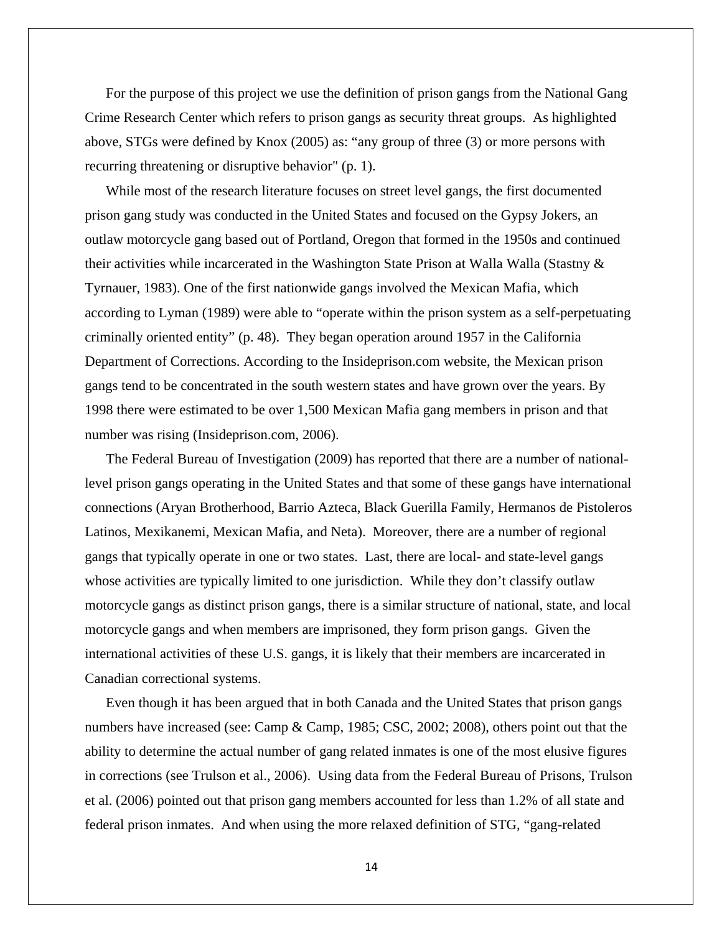For the purpose of this project we use the definition of prison gangs from the National Gang Crime Research Center which refers to prison gangs as security threat groups. As highlighted above, STGs were defined by Knox (2005) as: "any group of three (3) or more persons with recurring threatening or disruptive behavior" (p. 1).

While most of the research literature focuses on street level gangs, the first documented prison gang study was conducted in the United States and focused on the Gypsy Jokers, an outlaw motorcycle gang based out of Portland, Oregon that formed in the 1950s and continued their activities while incarcerated in the Washington State Prison at Walla Walla (Stastny  $\&$ Tyrnauer, 1983). One of the first nationwide gangs involved the Mexican Mafia, which according to Lyman (1989) were able to "operate within the prison system as a self-perpetuating criminally oriented entity" (p. 48). They began operation around 1957 in the California Department of Corrections. According to the Insideprison.com website, the Mexican prison gangs tend to be concentrated in the south western states and have grown over the years. By 1998 there were estimated to be over 1,500 Mexican Mafia gang members in prison and that number was rising (Insideprison.com, 2006).

The Federal Bureau of Investigation (2009) has reported that there are a number of nationallevel prison gangs operating in the United States and that some of these gangs have international connections (Aryan Brotherhood, Barrio Azteca, Black Guerilla Family, Hermanos de Pistoleros Latinos, Mexikanemi, Mexican Mafia, and Neta). Moreover, there are a number of regional gangs that typically operate in one or two states. Last, there are local- and state-level gangs whose activities are typically limited to one jurisdiction. While they don't classify outlaw motorcycle gangs as distinct prison gangs, there is a similar structure of national, state, and local motorcycle gangs and when members are imprisoned, they form prison gangs. Given the international activities of these U.S. gangs, it is likely that their members are incarcerated in Canadian correctional systems.

Even though it has been argued that in both Canada and the United States that prison gangs numbers have increased (see: Camp & Camp, 1985; CSC, 2002; 2008), others point out that the ability to determine the actual number of gang related inmates is one of the most elusive figures in corrections (see Trulson et al., 2006). Using data from the Federal Bureau of Prisons, Trulson et al. (2006) pointed out that prison gang members accounted for less than 1.2% of all state and federal prison inmates. And when using the more relaxed definition of STG, "gang-related

14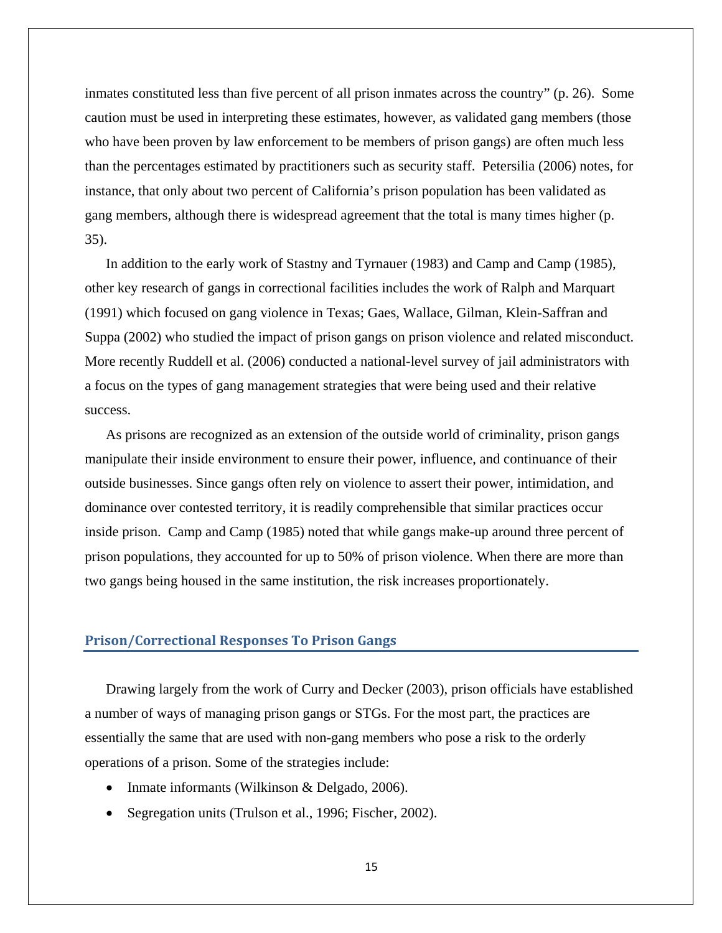inmates constituted less than five percent of all prison inmates across the country" (p. 26). Some caution must be used in interpreting these estimates, however, as validated gang members (those who have been proven by law enforcement to be members of prison gangs) are often much less than the percentages estimated by practitioners such as security staff. Petersilia (2006) notes, for instance, that only about two percent of California's prison population has been validated as gang members, although there is widespread agreement that the total is many times higher (p. 35).

In addition to the early work of Stastny and Tyrnauer (1983) and Camp and Camp (1985), other key research of gangs in correctional facilities includes the work of Ralph and Marquart (1991) which focused on gang violence in Texas; Gaes, Wallace, Gilman, Klein-Saffran and Suppa (2002) who studied the impact of prison gangs on prison violence and related misconduct. More recently Ruddell et al. (2006) conducted a national-level survey of jail administrators with a focus on the types of gang management strategies that were being used and their relative success.

As prisons are recognized as an extension of the outside world of criminality, prison gangs manipulate their inside environment to ensure their power, influence, and continuance of their outside businesses. Since gangs often rely on violence to assert their power, intimidation, and dominance over contested territory, it is readily comprehensible that similar practices occur inside prison. Camp and Camp (1985) noted that while gangs make-up around three percent of prison populations, they accounted for up to 50% of prison violence. When there are more than two gangs being housed in the same institution, the risk increases proportionately.

## **Prison/Correctional Responses To Prison Gangs**

Drawing largely from the work of Curry and Decker (2003), prison officials have established a number of ways of managing prison gangs or STGs. For the most part, the practices are essentially the same that are used with non-gang members who pose a risk to the orderly operations of a prison. Some of the strategies include:

- Inmate informants (Wilkinson & Delgado, 2006).
- Segregation units (Trulson et al., 1996; Fischer, 2002).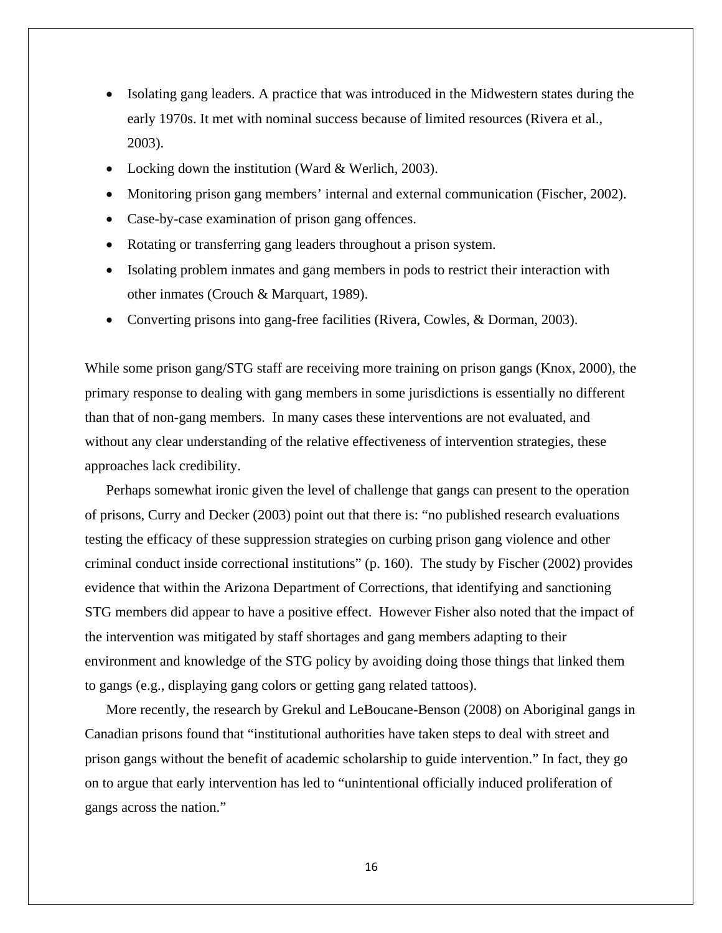- Isolating gang leaders. A practice that was introduced in the Midwestern states during the early 1970s. It met with nominal success because of limited resources (Rivera et al., 2003).
- Locking down the institution (Ward & Werlich, 2003).
- Monitoring prison gang members' internal and external communication (Fischer, 2002).
- Case-by-case examination of prison gang offences.
- Rotating or transferring gang leaders throughout a prison system.
- Isolating problem inmates and gang members in pods to restrict their interaction with other inmates (Crouch & Marquart, 1989).
- Converting prisons into gang-free facilities (Rivera, Cowles, & Dorman, 2003).

While some prison gang/STG staff are receiving more training on prison gangs (Knox, 2000), the primary response to dealing with gang members in some jurisdictions is essentially no different than that of non-gang members. In many cases these interventions are not evaluated, and without any clear understanding of the relative effectiveness of intervention strategies, these approaches lack credibility.

Perhaps somewhat ironic given the level of challenge that gangs can present to the operation of prisons, Curry and Decker (2003) point out that there is: "no published research evaluations testing the efficacy of these suppression strategies on curbing prison gang violence and other criminal conduct inside correctional institutions" (p. 160). The study by Fischer (2002) provides evidence that within the Arizona Department of Corrections, that identifying and sanctioning STG members did appear to have a positive effect. However Fisher also noted that the impact of the intervention was mitigated by staff shortages and gang members adapting to their environment and knowledge of the STG policy by avoiding doing those things that linked them to gangs (e.g., displaying gang colors or getting gang related tattoos).

More recently, the research by Grekul and LeBoucane-Benson (2008) on Aboriginal gangs in Canadian prisons found that "institutional authorities have taken steps to deal with street and prison gangs without the benefit of academic scholarship to guide intervention." In fact, they go on to argue that early intervention has led to "unintentional officially induced proliferation of gangs across the nation."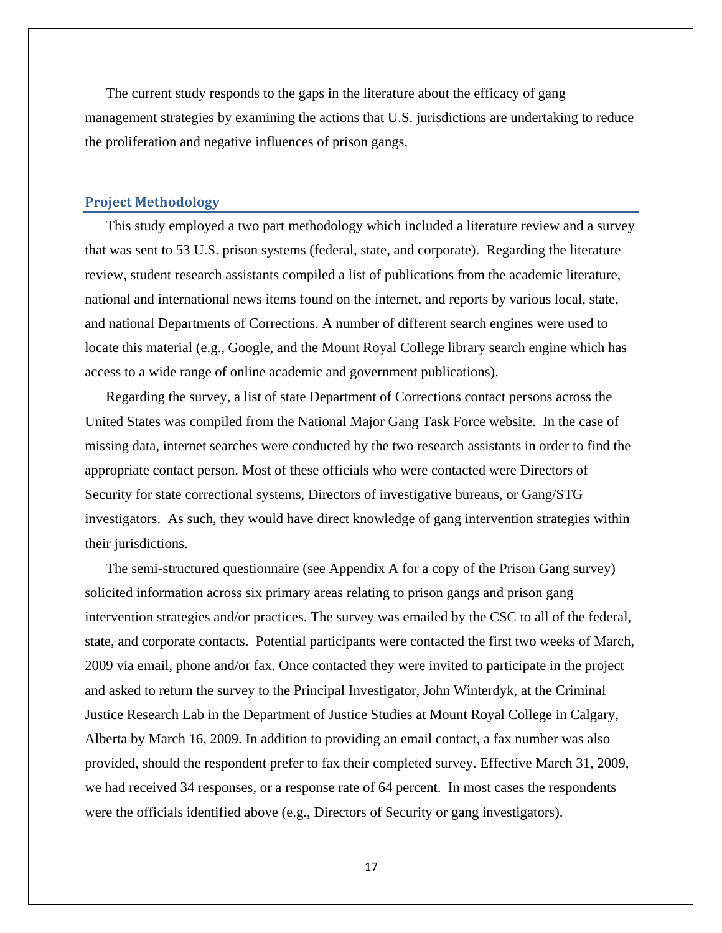<span id="page-16-0"></span>The current study responds to the gaps in the literature about the efficacy of gang management strategies by examining the actions that U.S. jurisdictions are undertaking to reduce the proliferation and negative influences of prison gangs.

#### **Project Methodology**

This study employed a two part methodology which included a literature review and a survey that was sent to 53 U.S. prison systems (federal, state, and corporate). Regarding the literature review, student research assistants compiled a list of publications from the academic literature, national and international news items found on the internet, and reports by various local, state, and national Departments of Corrections. A number of different search engines were used to locate this material (e.g., Google, and the Mount Royal College library search engine which has access to a wide range of online academic and government publications).

Regarding the survey, a list of state Department of Corrections contact persons across the United States was compiled from the National Major Gang Task Force website. In the case of missing data, internet searches were conducted by the two research assistants in order to find the appropriate contact person. Most of these officials who were contacted were Directors of Security for state correctional systems, Directors of investigative bureaus, or Gang/STG investigators. As such, they would have direct knowledge of gang intervention strategies within their jurisdictions.

The semi-structured questionnaire (see Appendix A for a copy of the Prison Gang survey) solicited information across six primary areas relating to prison gangs and prison gang intervention strategies and/or practices. The survey was emailed by the CSC to all of the federal, state, and corporate contacts. Potential participants were contacted the first two weeks of March, 2009 via email, phone and/or fax. Once contacted they were invited to participate in the project and asked to return the survey to the Principal Investigator, John Winterdyk, at the Criminal Justice Research Lab in the Department of Justice Studies at Mount Royal College in Calgary, Alberta by March 16, 2009. In addition to providing an email contact, a fax number was also provided, should the respondent prefer to fax their completed survey. Effective March 31, 2009, we had received 34 responses, or a response rate of 64 percent. In most cases the respondents were the officials identified above (e.g., Directors of Security or gang investigators).

17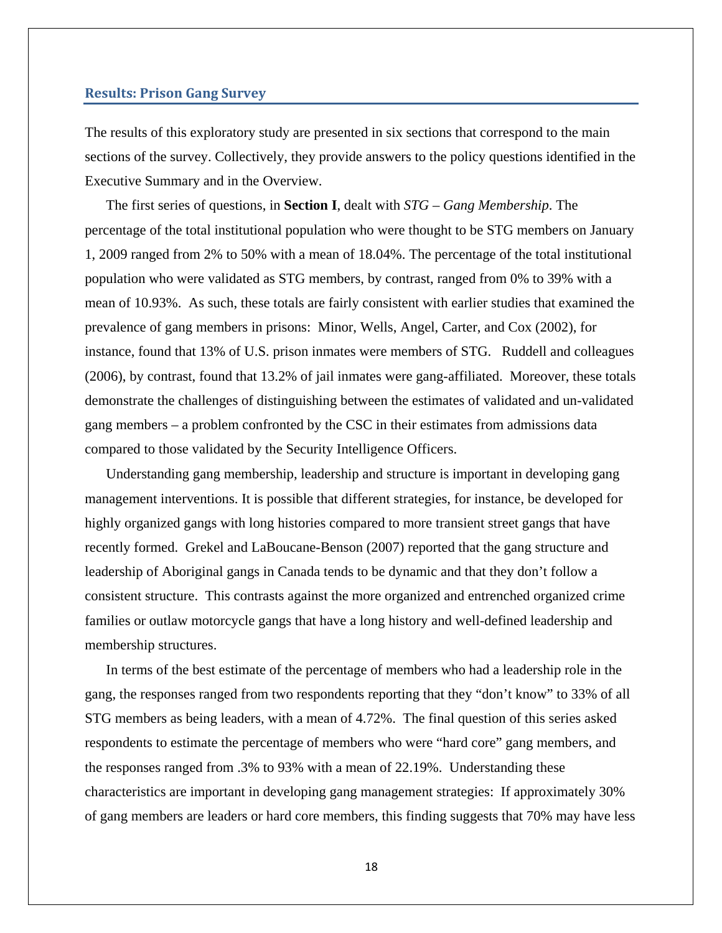#### <span id="page-17-0"></span>**Results: Prison Gang Survey**

The results of this exploratory study are presented in six sections that correspond to the main sections of the survey. Collectively, they provide answers to the policy questions identified in the Executive Summary and in the Overview.

The first series of questions, in **Section I**, dealt with *STG – Gang Membership*. The percentage of the total institutional population who were thought to be STG members on January 1, 2009 ranged from 2% to 50% with a mean of 18.04%. The percentage of the total institutional population who were validated as STG members, by contrast, ranged from 0% to 39% with a mean of 10.93%. As such, these totals are fairly consistent with earlier studies that examined the prevalence of gang members in prisons: Minor, Wells, Angel, Carter, and Cox (2002), for instance, found that 13% of U.S. prison inmates were members of STG. Ruddell and colleagues (2006), by contrast, found that 13.2% of jail inmates were gang-affiliated. Moreover, these totals demonstrate the challenges of distinguishing between the estimates of validated and un-validated gang members – a problem confronted by the CSC in their estimates from admissions data compared to those validated by the Security Intelligence Officers.

Understanding gang membership, leadership and structure is important in developing gang management interventions. It is possible that different strategies, for instance, be developed for highly organized gangs with long histories compared to more transient street gangs that have recently formed. Grekel and LaBoucane-Benson (2007) reported that the gang structure and leadership of Aboriginal gangs in Canada tends to be dynamic and that they don't follow a consistent structure. This contrasts against the more organized and entrenched organized crime families or outlaw motorcycle gangs that have a long history and well-defined leadership and membership structures.

In terms of the best estimate of the percentage of members who had a leadership role in the gang, the responses ranged from two respondents reporting that they "don't know" to 33% of all STG members as being leaders, with a mean of 4.72%. The final question of this series asked respondents to estimate the percentage of members who were "hard core" gang members, and the responses ranged from .3% to 93% with a mean of 22.19%. Understanding these characteristics are important in developing gang management strategies: If approximately 30% of gang members are leaders or hard core members, this finding suggests that 70% may have less

18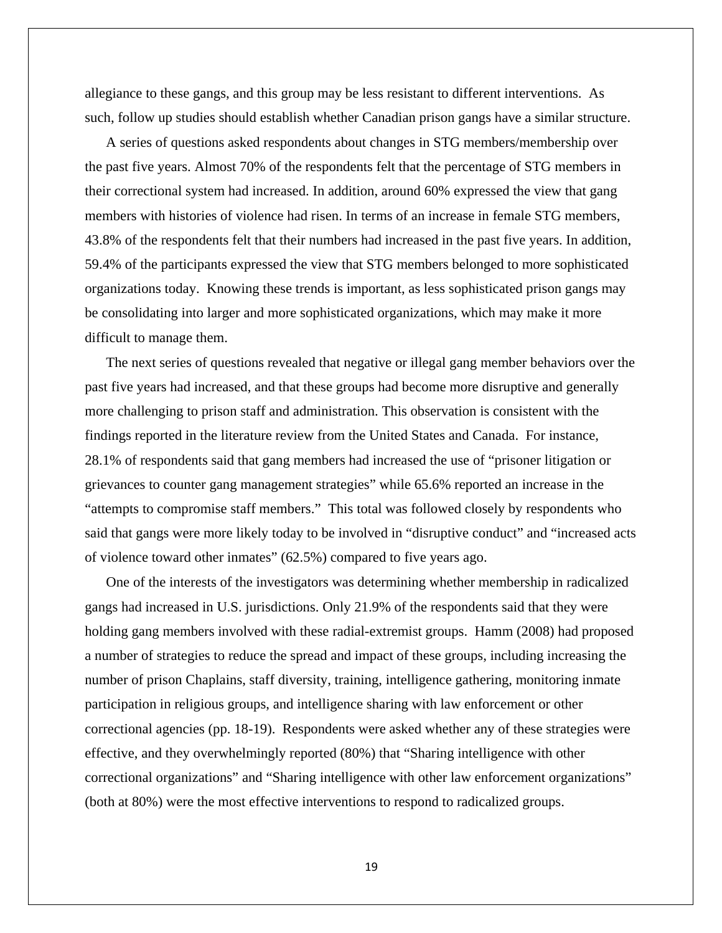allegiance to these gangs, and this group may be less resistant to different interventions. As such, follow up studies should establish whether Canadian prison gangs have a similar structure.

A series of questions asked respondents about changes in STG members/membership over the past five years. Almost 70% of the respondents felt that the percentage of STG members in their correctional system had increased. In addition, around 60% expressed the view that gang members with histories of violence had risen. In terms of an increase in female STG members, 43.8% of the respondents felt that their numbers had increased in the past five years. In addition, 59.4% of the participants expressed the view that STG members belonged to more sophisticated organizations today. Knowing these trends is important, as less sophisticated prison gangs may be consolidating into larger and more sophisticated organizations, which may make it more difficult to manage them.

The next series of questions revealed that negative or illegal gang member behaviors over the past five years had increased, and that these groups had become more disruptive and generally more challenging to prison staff and administration. This observation is consistent with the findings reported in the literature review from the United States and Canada. For instance, 28.1% of respondents said that gang members had increased the use of "prisoner litigation or grievances to counter gang management strategies" while 65.6% reported an increase in the "attempts to compromise staff members." This total was followed closely by respondents who said that gangs were more likely today to be involved in "disruptive conduct" and "increased acts of violence toward other inmates" (62.5%) compared to five years ago.

One of the interests of the investigators was determining whether membership in radicalized gangs had increased in U.S. jurisdictions. Only 21.9% of the respondents said that they were holding gang members involved with these radial-extremist groups. Hamm (2008) had proposed a number of strategies to reduce the spread and impact of these groups, including increasing the number of prison Chaplains, staff diversity, training, intelligence gathering, monitoring inmate participation in religious groups, and intelligence sharing with law enforcement or other correctional agencies (pp. 18-19). Respondents were asked whether any of these strategies were effective, and they overwhelmingly reported (80%) that "Sharing intelligence with other correctional organizations" and "Sharing intelligence with other law enforcement organizations" (both at 80%) were the most effective interventions to respond to radicalized groups.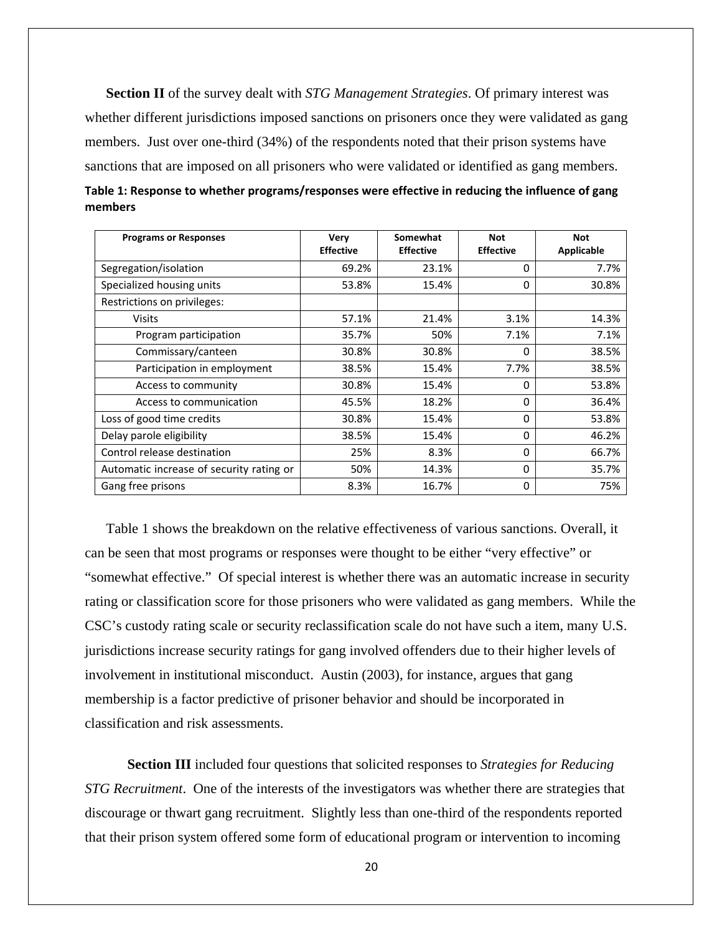**Section II** of the survey dealt with *STG Management Strategies*. Of primary interest was whether different jurisdictions imposed sanctions on prisoners once they were validated as gang members. Just over one-third (34%) of the respondents noted that their prison systems have sanctions that are imposed on all prisoners who were validated or identified as gang members.

| <b>Programs or Responses</b>             | <b>Very</b><br><b>Effective</b> | Somewhat<br><b>Effective</b> | <b>Not</b><br><b>Effective</b> | <b>Not</b><br><b>Applicable</b> |
|------------------------------------------|---------------------------------|------------------------------|--------------------------------|---------------------------------|
| Segregation/isolation                    | 69.2%                           | 23.1%                        | 0                              | 7.7%                            |
| Specialized housing units                | 53.8%                           | 15.4%                        | 0                              | 30.8%                           |
| Restrictions on privileges:              |                                 |                              |                                |                                 |
| <b>Visits</b>                            | 57.1%                           | 21.4%                        | 3.1%                           | 14.3%                           |
| Program participation                    | 35.7%                           | 50%                          | 7.1%                           | 7.1%                            |
| Commissary/canteen                       | 30.8%                           | 30.8%                        | $\Omega$                       | 38.5%                           |
| Participation in employment              | 38.5%                           | 15.4%                        | 7.7%                           | 38.5%                           |
| Access to community                      | 30.8%                           | 15.4%                        | $\Omega$                       | 53.8%                           |
| Access to communication                  | 45.5%                           | 18.2%                        | 0                              | 36.4%                           |
| Loss of good time credits                | 30.8%                           | 15.4%                        | $\Omega$                       | 53.8%                           |
| Delay parole eligibility                 | 38.5%                           | 15.4%                        | 0                              | 46.2%                           |
| Control release destination              | 25%                             | 8.3%                         | 0                              | 66.7%                           |
| Automatic increase of security rating or | 50%                             | 14.3%                        | $\Omega$                       | 35.7%                           |
| Gang free prisons                        | 8.3%                            | 16.7%                        | 0                              | 75%                             |

| Table 1: Response to whether programs/responses were effective in reducing the influence of gang |  |
|--------------------------------------------------------------------------------------------------|--|
| members                                                                                          |  |

Table 1 shows the breakdown on the relative effectiveness of various sanctions. Overall, it can be seen that most programs or responses were thought to be either "very effective" or "somewhat effective." Of special interest is whether there was an automatic increase in security rating or classification score for those prisoners who were validated as gang members. While the CSC's custody rating scale or security reclassification scale do not have such a item, many U.S. jurisdictions increase security ratings for gang involved offenders due to their higher levels of involvement in institutional misconduct. Austin (2003), for instance, argues that gang membership is a factor predictive of prisoner behavior and should be incorporated in classification and risk assessments.

**Section III** included four questions that solicited responses to *Strategies for Reducing STG Recruitment*. One of the interests of the investigators was whether there are strategies that discourage or thwart gang recruitment. Slightly less than one-third of the respondents reported that their prison system offered some form of educational program or intervention to incoming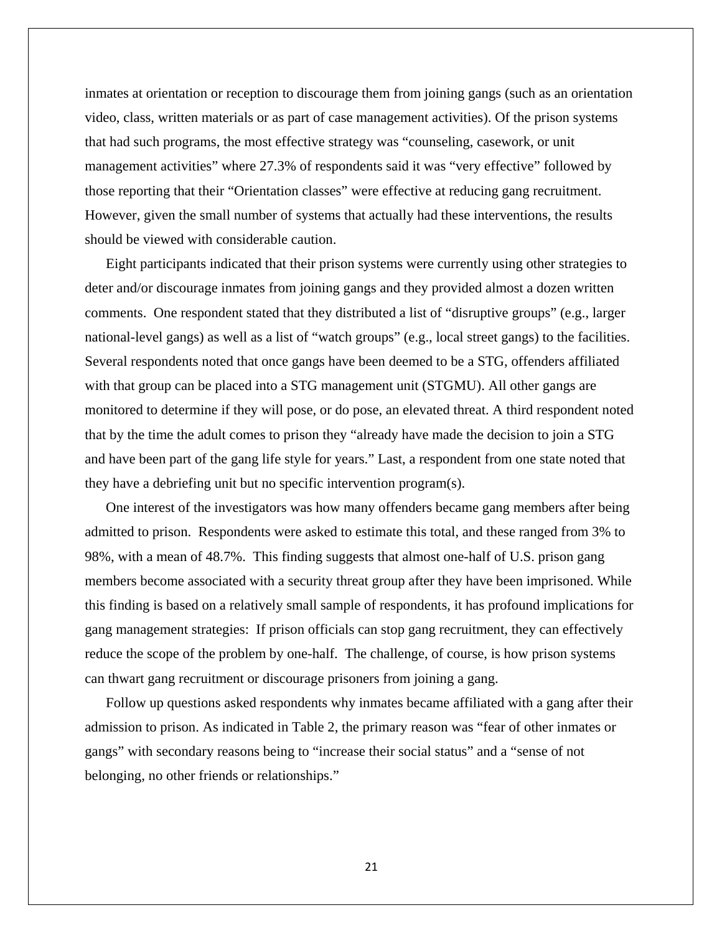inmates at orientation or reception to discourage them from joining gangs (such as an orientation video, class, written materials or as part of case management activities). Of the prison systems that had such programs, the most effective strategy was "counseling, casework, or unit management activities" where 27.3% of respondents said it was "very effective" followed by those reporting that their "Orientation classes" were effective at reducing gang recruitment. However, given the small number of systems that actually had these interventions, the results should be viewed with considerable caution.

Eight participants indicated that their prison systems were currently using other strategies to deter and/or discourage inmates from joining gangs and they provided almost a dozen written comments. One respondent stated that they distributed a list of "disruptive groups" (e.g., larger national-level gangs) as well as a list of "watch groups" (e.g., local street gangs) to the facilities. Several respondents noted that once gangs have been deemed to be a STG, offenders affiliated with that group can be placed into a STG management unit (STGMU). All other gangs are monitored to determine if they will pose, or do pose, an elevated threat. A third respondent noted that by the time the adult comes to prison they "already have made the decision to join a STG and have been part of the gang life style for years." Last, a respondent from one state noted that they have a debriefing unit but no specific intervention program(s).

One interest of the investigators was how many offenders became gang members after being admitted to prison. Respondents were asked to estimate this total, and these ranged from 3% to 98%, with a mean of 48.7%. This finding suggests that almost one-half of U.S. prison gang members become associated with a security threat group after they have been imprisoned. While this finding is based on a relatively small sample of respondents, it has profound implications for gang management strategies: If prison officials can stop gang recruitment, they can effectively reduce the scope of the problem by one-half. The challenge, of course, is how prison systems can thwart gang recruitment or discourage prisoners from joining a gang.

Follow up questions asked respondents why inmates became affiliated with a gang after their admission to prison. As indicated in Table 2, the primary reason was "fear of other inmates or gangs" with secondary reasons being to "increase their social status" and a "sense of not belonging, no other friends or relationships."

21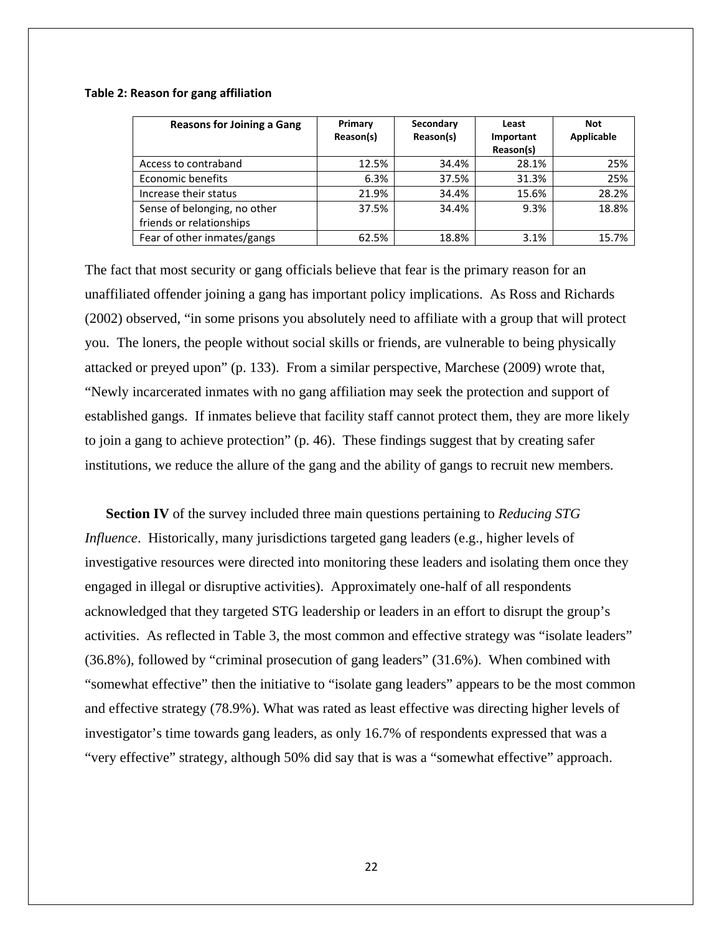#### **Table 2: Reason for gang affiliation**

| <b>Reasons for Joining a Gang</b> | Primary<br>Reason(s) | Secondary<br>Reason(s) | Least<br>Important<br>Reason(s) | <b>Not</b><br>Applicable |
|-----------------------------------|----------------------|------------------------|---------------------------------|--------------------------|
|                                   |                      |                        |                                 |                          |
| Access to contraband              | 12.5%                | 34.4%                  | 28.1%                           | 25%                      |
| Economic benefits                 | 6.3%                 | 37.5%                  | 31.3%                           | 25%                      |
| Increase their status             | 21.9%                | 34.4%                  | 15.6%                           | 28.2%                    |
| Sense of belonging, no other      | 37.5%                | 34.4%                  | 9.3%                            | 18.8%                    |
| friends or relationships          |                      |                        |                                 |                          |
| Fear of other inmates/gangs       | 62.5%                | 18.8%                  | 3.1%                            | 15.7%                    |

The fact that most security or gang officials believe that fear is the primary reason for an unaffiliated offender joining a gang has important policy implications. As Ross and Richards (2002) observed, "in some prisons you absolutely need to affiliate with a group that will protect you. The loners, the people without social skills or friends, are vulnerable to being physically attacked or preyed upon" (p. 133). From a similar perspective, Marchese (2009) wrote that, "Newly incarcerated inmates with no gang affiliation may seek the protection and support of established gangs. If inmates believe that facility staff cannot protect them, they are more likely to join a gang to achieve protection" (p. 46). These findings suggest that by creating safer institutions, we reduce the allure of the gang and the ability of gangs to recruit new members.

**Section IV** of the survey included three main questions pertaining to *Reducing STG Influence*. Historically, many jurisdictions targeted gang leaders (e.g., higher levels of investigative resources were directed into monitoring these leaders and isolating them once they engaged in illegal or disruptive activities). Approximately one-half of all respondents acknowledged that they targeted STG leadership or leaders in an effort to disrupt the group's activities. As reflected in Table 3, the most common and effective strategy was "isolate leaders" (36.8%), followed by "criminal prosecution of gang leaders" (31.6%). When combined with "somewhat effective" then the initiative to "isolate gang leaders" appears to be the most common and effective strategy (78.9%). What was rated as least effective was directing higher levels of investigator's time towards gang leaders, as only 16.7% of respondents expressed that was a "very effective" strategy, although 50% did say that is was a "somewhat effective" approach.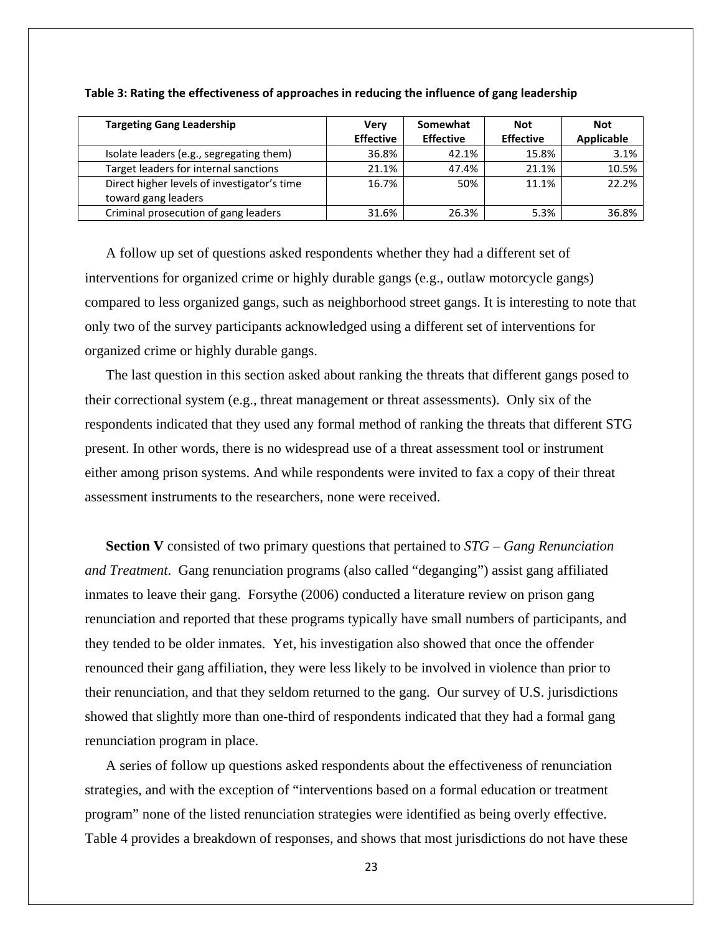| <b>Targeting Gang Leadership</b>            | <b>Very</b>      | Somewhat         | <b>Not</b>       | <b>Not</b> |
|---------------------------------------------|------------------|------------------|------------------|------------|
|                                             | <b>Effective</b> | <b>Effective</b> | <b>Effective</b> | Applicable |
| Isolate leaders (e.g., segregating them)    | 36.8%            | 42.1%            | 15.8%            | 3.1%       |
| Target leaders for internal sanctions       | 21.1%            | 47.4%            | 21.1%            | 10.5%      |
| Direct higher levels of investigator's time | 16.7%            | 50%              | 11.1%            | 22.2%      |
| toward gang leaders                         |                  |                  |                  |            |
| Criminal prosecution of gang leaders        | 31.6%            | 26.3%            | 5.3%             | 36.8%      |

#### **Table 3: Rating the effectiveness of approaches in reducing the influence of gang leadership**

A follow up set of questions asked respondents whether they had a different set of interventions for organized crime or highly durable gangs (e.g., outlaw motorcycle gangs) compared to less organized gangs, such as neighborhood street gangs. It is interesting to note that only two of the survey participants acknowledged using a different set of interventions for organized crime or highly durable gangs.

The last question in this section asked about ranking the threats that different gangs posed to their correctional system (e.g., threat management or threat assessments). Only six of the respondents indicated that they used any formal method of ranking the threats that different STG present. In other words, there is no widespread use of a threat assessment tool or instrument either among prison systems. And while respondents were invited to fax a copy of their threat assessment instruments to the researchers, none were received.

**Section V** consisted of two primary questions that pertained to *STG – Gang Renunciation and Treatment*. Gang renunciation programs (also called "deganging") assist gang affiliated inmates to leave their gang. Forsythe (2006) conducted a literature review on prison gang renunciation and reported that these programs typically have small numbers of participants, and they tended to be older inmates. Yet, his investigation also showed that once the offender renounced their gang affiliation, they were less likely to be involved in violence than prior to their renunciation, and that they seldom returned to the gang. Our survey of U.S. jurisdictions showed that slightly more than one-third of respondents indicated that they had a formal gang renunciation program in place.

A series of follow up questions asked respondents about the effectiveness of renunciation strategies, and with the exception of "interventions based on a formal education or treatment program" none of the listed renunciation strategies were identified as being overly effective. Table 4 provides a breakdown of responses, and shows that most jurisdictions do not have these

23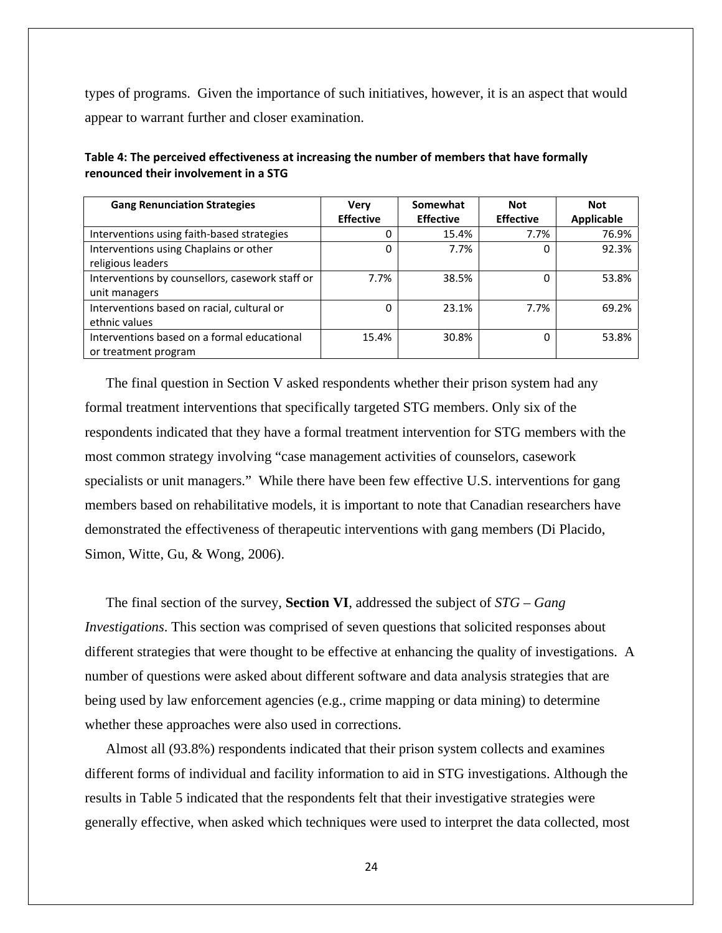types of programs. Given the importance of such initiatives, however, it is an aspect that would appear to warrant further and closer examination.

| <b>Gang Renunciation Strategies</b>             | <b>Very</b>      | Somewhat         | <b>Not</b>       | <b>Not</b>        |
|-------------------------------------------------|------------------|------------------|------------------|-------------------|
|                                                 | <b>Effective</b> | <b>Effective</b> | <b>Effective</b> | <b>Applicable</b> |
| Interventions using faith-based strategies      |                  | 15.4%            | 7.7%             | 76.9%             |
| Interventions using Chaplains or other          | 0                | 7.7%             | 0                | 92.3%             |
| religious leaders                               |                  |                  |                  |                   |
| Interventions by counsellors, casework staff or | 7.7%             | 38.5%            | 0                | 53.8%             |
| unit managers                                   |                  |                  |                  |                   |
| Interventions based on racial, cultural or      | 0                | 23.1%            | 7.7%             | 69.2%             |
| ethnic values                                   |                  |                  |                  |                   |
| Interventions based on a formal educational     | 15.4%            | 30.8%            | 0                | 53.8%             |
| or treatment program                            |                  |                  |                  |                   |

**Table 4: The perceived effectiveness at increasing the number of members that have formally renounced their involvement in a STG**

The final question in Section V asked respondents whether their prison system had any formal treatment interventions that specifically targeted STG members. Only six of the respondents indicated that they have a formal treatment intervention for STG members with the most common strategy involving "case management activities of counselors, casework specialists or unit managers." While there have been few effective U.S. interventions for gang members based on rehabilitative models, it is important to note that Canadian researchers have demonstrated the effectiveness of therapeutic interventions with gang members (Di Placido, Simon, Witte, Gu, & Wong, 2006).

The final section of the survey, **Section VI**, addressed the subject of *STG – Gang Investigations*. This section was comprised of seven questions that solicited responses about different strategies that were thought to be effective at enhancing the quality of investigations. A number of questions were asked about different software and data analysis strategies that are being used by law enforcement agencies (e.g., crime mapping or data mining) to determine whether these approaches were also used in corrections.

Almost all (93.8%) respondents indicated that their prison system collects and examines different forms of individual and facility information to aid in STG investigations. Although the results in Table 5 indicated that the respondents felt that their investigative strategies were generally effective, when asked which techniques were used to interpret the data collected, most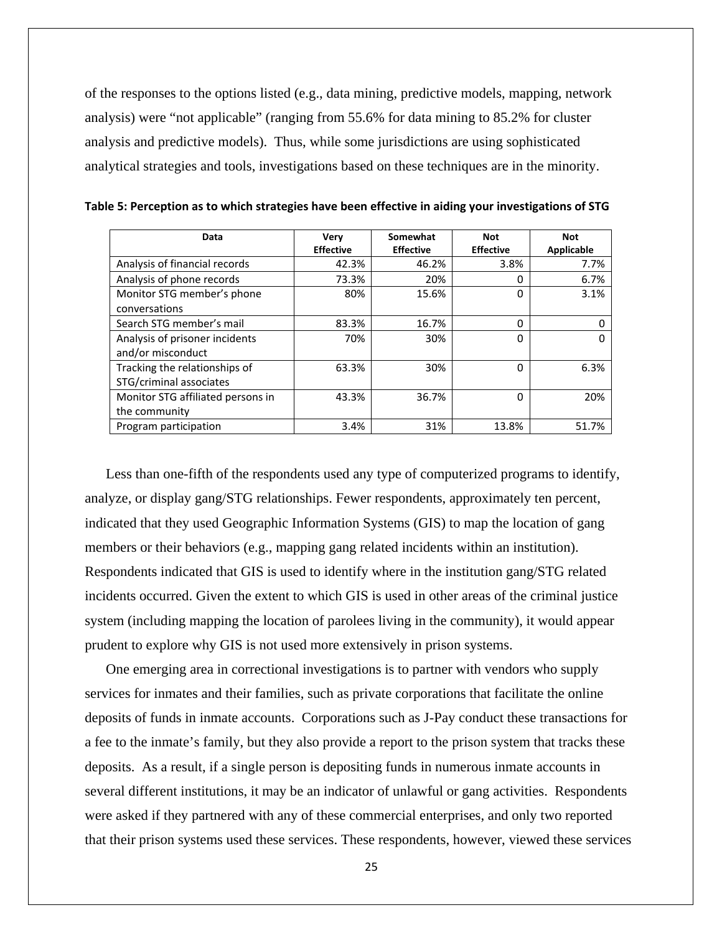of the responses to the options listed (e.g., data mining, predictive models, mapping, network analysis) were "not applicable" (ranging from 55.6% for data mining to 85.2% for cluster analysis and predictive models). Thus, while some jurisdictions are using sophisticated analytical strategies and tools, investigations based on these techniques are in the minority.

| Data                              | Very             | Somewhat         | <b>Not</b>       | <b>Not</b> |
|-----------------------------------|------------------|------------------|------------------|------------|
|                                   | <b>Effective</b> | <b>Effective</b> | <b>Effective</b> | Applicable |
| Analysis of financial records     | 42.3%            | 46.2%            | 3.8%             | 7.7%       |
| Analysis of phone records         | 73.3%            | 20%              | 0                | 6.7%       |
| Monitor STG member's phone        | 80%              | 15.6%            | 0                | 3.1%       |
| conversations                     |                  |                  |                  |            |
| Search STG member's mail          | 83.3%            | 16.7%            | 0                |            |
| Analysis of prisoner incidents    | 70%              | 30%              | ი                |            |
| and/or misconduct                 |                  |                  |                  |            |
| Tracking the relationships of     | 63.3%            | 30%              | 0                | 6.3%       |
| STG/criminal associates           |                  |                  |                  |            |
| Monitor STG affiliated persons in | 43.3%            | 36.7%            | 0                | 20%        |
| the community                     |                  |                  |                  |            |
| Program participation             | 3.4%             | 31%              | 13.8%            | 51.7%      |

Less than one-fifth of the respondents used any type of computerized programs to identify, analyze, or display gang/STG relationships. Fewer respondents, approximately ten percent, indicated that they used Geographic Information Systems (GIS) to map the location of gang members or their behaviors (e.g., mapping gang related incidents within an institution). Respondents indicated that GIS is used to identify where in the institution gang/STG related incidents occurred. Given the extent to which GIS is used in other areas of the criminal justice system (including mapping the location of parolees living in the community), it would appear prudent to explore why GIS is not used more extensively in prison systems.

One emerging area in correctional investigations is to partner with vendors who supply services for inmates and their families, such as private corporations that facilitate the online deposits of funds in inmate accounts. Corporations such as J-Pay conduct these transactions for a fee to the inmate's family, but they also provide a report to the prison system that tracks these deposits. As a result, if a single person is depositing funds in numerous inmate accounts in several different institutions, it may be an indicator of unlawful or gang activities. Respondents were asked if they partnered with any of these commercial enterprises, and only two reported that their prison systems used these services. These respondents, however, viewed these services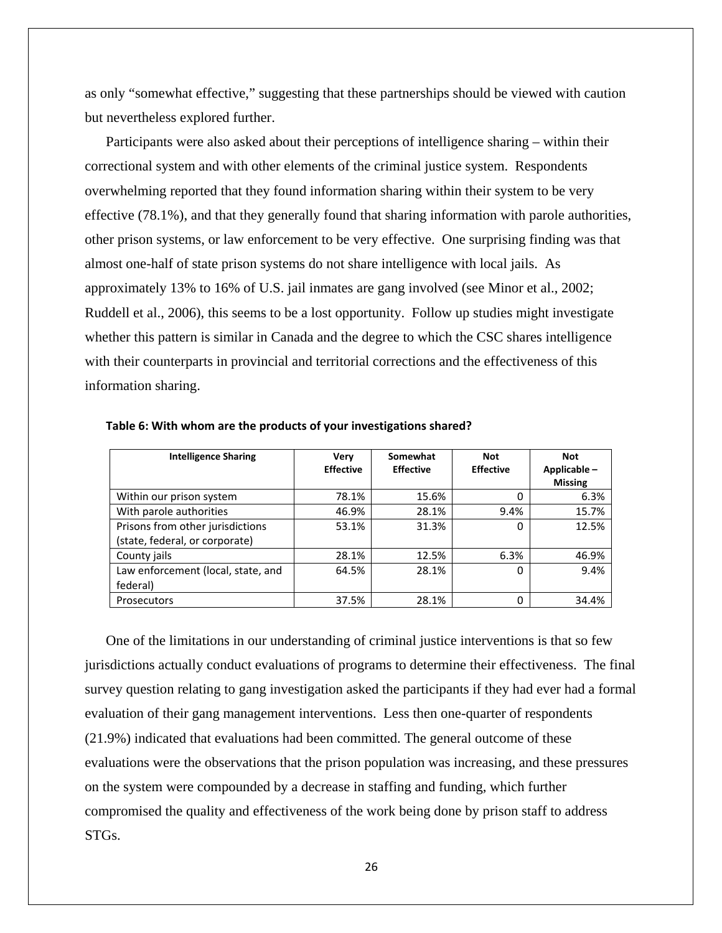as only "somewhat effective," suggesting that these partnerships should be viewed with caution but nevertheless explored further.

Participants were also asked about their perceptions of intelligence sharing – within their correctional system and with other elements of the criminal justice system. Respondents overwhelming reported that they found information sharing within their system to be very effective (78.1%), and that they generally found that sharing information with parole authorities, other prison systems, or law enforcement to be very effective. One surprising finding was that almost one-half of state prison systems do not share intelligence with local jails. As approximately 13% to 16% of U.S. jail inmates are gang involved (see Minor et al., 2002; Ruddell et al., 2006), this seems to be a lost opportunity. Follow up studies might investigate whether this pattern is similar in Canada and the degree to which the CSC shares intelligence with their counterparts in provincial and territorial corrections and the effectiveness of this information sharing.

| <b>Intelligence Sharing</b>        | Very<br><b>Effective</b> | Somewhat<br><b>Effective</b> | <b>Not</b><br><b>Effective</b> | <b>Not</b><br>Applicable- |
|------------------------------------|--------------------------|------------------------------|--------------------------------|---------------------------|
|                                    |                          |                              |                                | <b>Missing</b>            |
| Within our prison system           | 78.1%                    | 15.6%                        |                                | 6.3%                      |
| With parole authorities            | 46.9%                    | 28.1%                        | 9.4%                           | 15.7%                     |
| Prisons from other jurisdictions   | 53.1%                    | 31.3%                        | 0                              | 12.5%                     |
| (state, federal, or corporate)     |                          |                              |                                |                           |
| County jails                       | 28.1%                    | 12.5%                        | 6.3%                           | 46.9%                     |
| Law enforcement (local, state, and | 64.5%                    | 28.1%                        | $\Omega$                       | 9.4%                      |
| federal)                           |                          |                              |                                |                           |
| <b>Prosecutors</b>                 | 37.5%                    | 28.1%                        |                                | 34.4%                     |

**Table 6: With whom are the products of your investigations shared?** 

One of the limitations in our understanding of criminal justice interventions is that so few jurisdictions actually conduct evaluations of programs to determine their effectiveness. The final survey question relating to gang investigation asked the participants if they had ever had a formal evaluation of their gang management interventions. Less then one-quarter of respondents (21.9%) indicated that evaluations had been committed. The general outcome of these evaluations were the observations that the prison population was increasing, and these pressures on the system were compounded by a decrease in staffing and funding, which further compromised the quality and effectiveness of the work being done by prison staff to address STGs.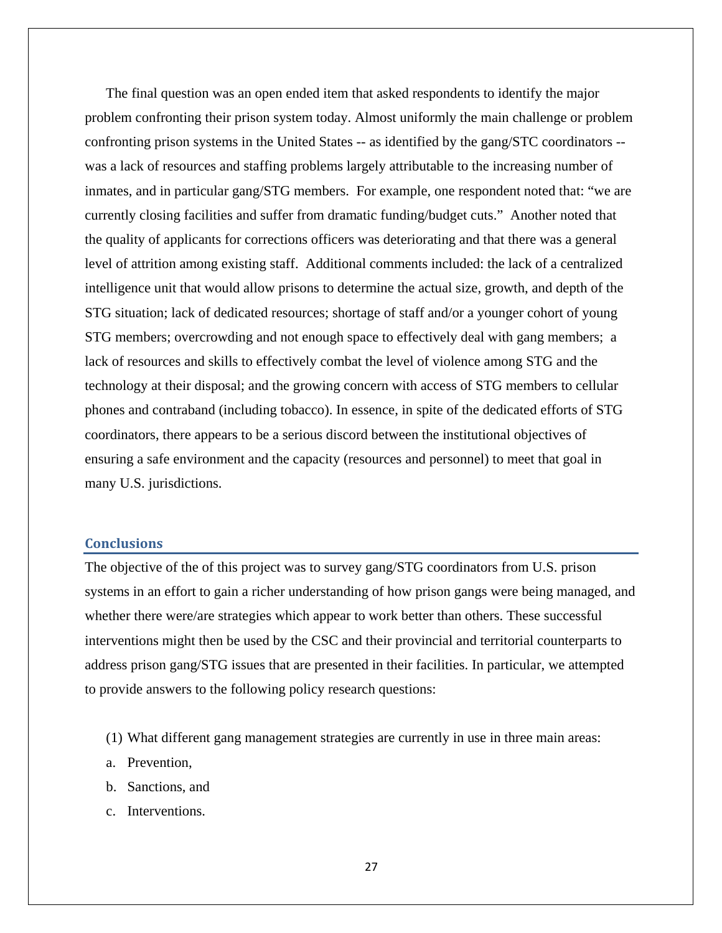<span id="page-26-0"></span>The final question was an open ended item that asked respondents to identify the major problem confronting their prison system today. Almost uniformly the main challenge or problem confronting prison systems in the United States -- as identified by the gang/STC coordinators - was a lack of resources and staffing problems largely attributable to the increasing number of inmates, and in particular gang/STG members. For example, one respondent noted that: "we are currently closing facilities and suffer from dramatic funding/budget cuts." Another noted that the quality of applicants for corrections officers was deteriorating and that there was a general level of attrition among existing staff. Additional comments included: the lack of a centralized intelligence unit that would allow prisons to determine the actual size, growth, and depth of the STG situation; lack of dedicated resources; shortage of staff and/or a younger cohort of young STG members; overcrowding and not enough space to effectively deal with gang members; a lack of resources and skills to effectively combat the level of violence among STG and the technology at their disposal; and the growing concern with access of STG members to cellular phones and contraband (including tobacco). In essence, in spite of the dedicated efforts of STG coordinators, there appears to be a serious discord between the institutional objectives of ensuring a safe environment and the capacity (resources and personnel) to meet that goal in many U.S. jurisdictions.

#### **Conclusions**

The objective of the of this project was to survey gang/STG coordinators from U.S. prison systems in an effort to gain a richer understanding of how prison gangs were being managed, and whether there were/are strategies which appear to work better than others. These successful interventions might then be used by the CSC and their provincial and territorial counterparts to address prison gang/STG issues that are presented in their facilities. In particular, we attempted to provide answers to the following policy research questions:

- (1) What different gang management strategies are currently in use in three main areas:
- a. Prevention,
- b. Sanctions, and
- c. Interventions.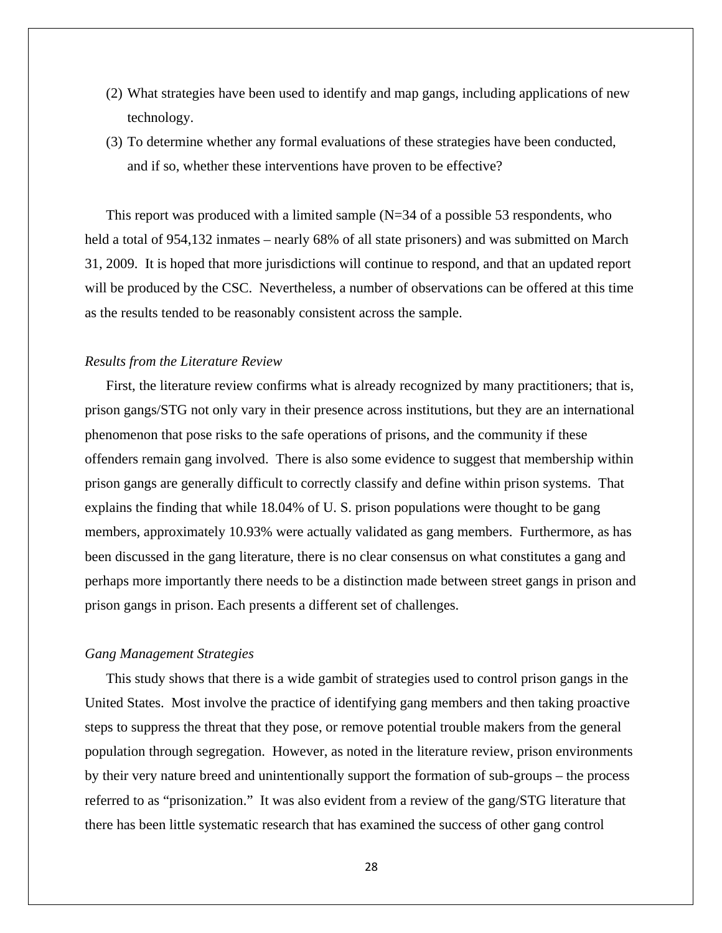- (2) What strategies have been used to identify and map gangs, including applications of new technology.
- (3) To determine whether any formal evaluations of these strategies have been conducted, and if so, whether these interventions have proven to be effective?

This report was produced with a limited sample  $(N=34$  of a possible 53 respondents, who held a total of 954,132 inmates – nearly 68% of all state prisoners) and was submitted on March 31, 2009. It is hoped that more jurisdictions will continue to respond, and that an updated report will be produced by the CSC. Nevertheless, a number of observations can be offered at this time as the results tended to be reasonably consistent across the sample.

#### *Results from the Literature Review*

First, the literature review confirms what is already recognized by many practitioners; that is, prison gangs/STG not only vary in their presence across institutions, but they are an international phenomenon that pose risks to the safe operations of prisons, and the community if these offenders remain gang involved. There is also some evidence to suggest that membership within prison gangs are generally difficult to correctly classify and define within prison systems. That explains the finding that while 18.04% of U. S. prison populations were thought to be gang members, approximately 10.93% were actually validated as gang members. Furthermore, as has been discussed in the gang literature, there is no clear consensus on what constitutes a gang and perhaps more importantly there needs to be a distinction made between street gangs in prison and prison gangs in prison. Each presents a different set of challenges.

## *Gang Management Strategies*

This study shows that there is a wide gambit of strategies used to control prison gangs in the United States. Most involve the practice of identifying gang members and then taking proactive steps to suppress the threat that they pose, or remove potential trouble makers from the general population through segregation. However, as noted in the literature review, prison environments by their very nature breed and unintentionally support the formation of sub-groups – the process referred to as "prisonization." It was also evident from a review of the gang/STG literature that there has been little systematic research that has examined the success of other gang control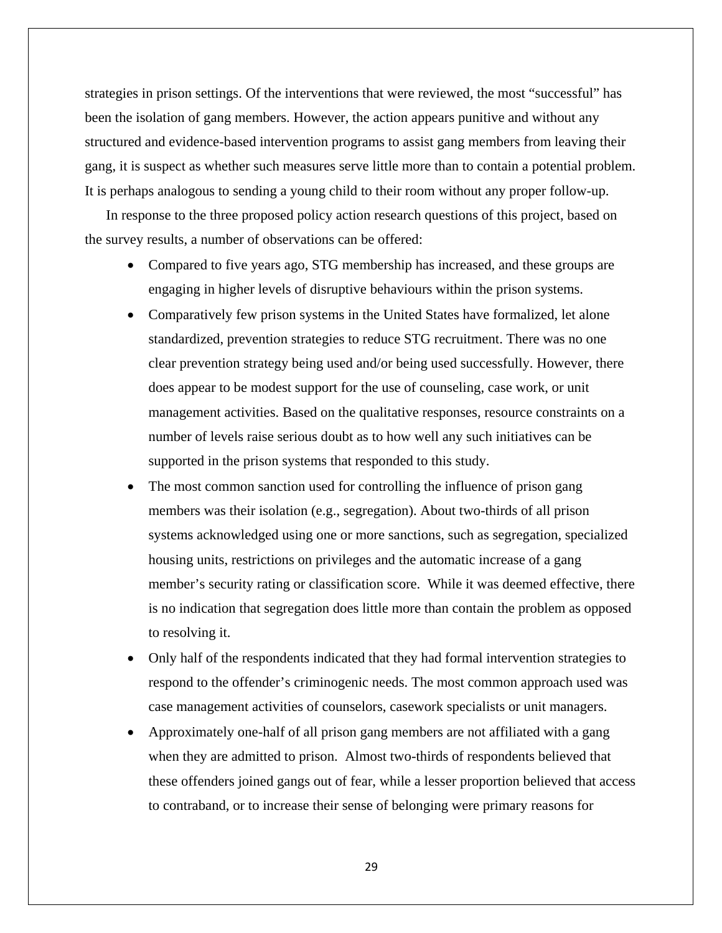strategies in prison settings. Of the interventions that were reviewed, the most "successful" has been the isolation of gang members. However, the action appears punitive and without any structured and evidence-based intervention programs to assist gang members from leaving their gang, it is suspect as whether such measures serve little more than to contain a potential problem. It is perhaps analogous to sending a young child to their room without any proper follow-up.

In response to the three proposed policy action research questions of this project, based on the survey results, a number of observations can be offered:

- Compared to five years ago, STG membership has increased, and these groups are engaging in higher levels of disruptive behaviours within the prison systems.
- Comparatively few prison systems in the United States have formalized, let alone standardized, prevention strategies to reduce STG recruitment. There was no one clear prevention strategy being used and/or being used successfully. However, there does appear to be modest support for the use of counseling, case work, or unit management activities. Based on the qualitative responses, resource constraints on a number of levels raise serious doubt as to how well any such initiatives can be supported in the prison systems that responded to this study.
- The most common sanction used for controlling the influence of prison gang members was their isolation (e.g., segregation). About two-thirds of all prison systems acknowledged using one or more sanctions, such as segregation, specialized housing units, restrictions on privileges and the automatic increase of a gang member's security rating or classification score. While it was deemed effective, there is no indication that segregation does little more than contain the problem as opposed to resolving it.
- Only half of the respondents indicated that they had formal intervention strategies to respond to the offender's criminogenic needs. The most common approach used was case management activities of counselors, casework specialists or unit managers.
- Approximately one-half of all prison gang members are not affiliated with a gang when they are admitted to prison. Almost two-thirds of respondents believed that these offenders joined gangs out of fear, while a lesser proportion believed that access to contraband, or to increase their sense of belonging were primary reasons for

29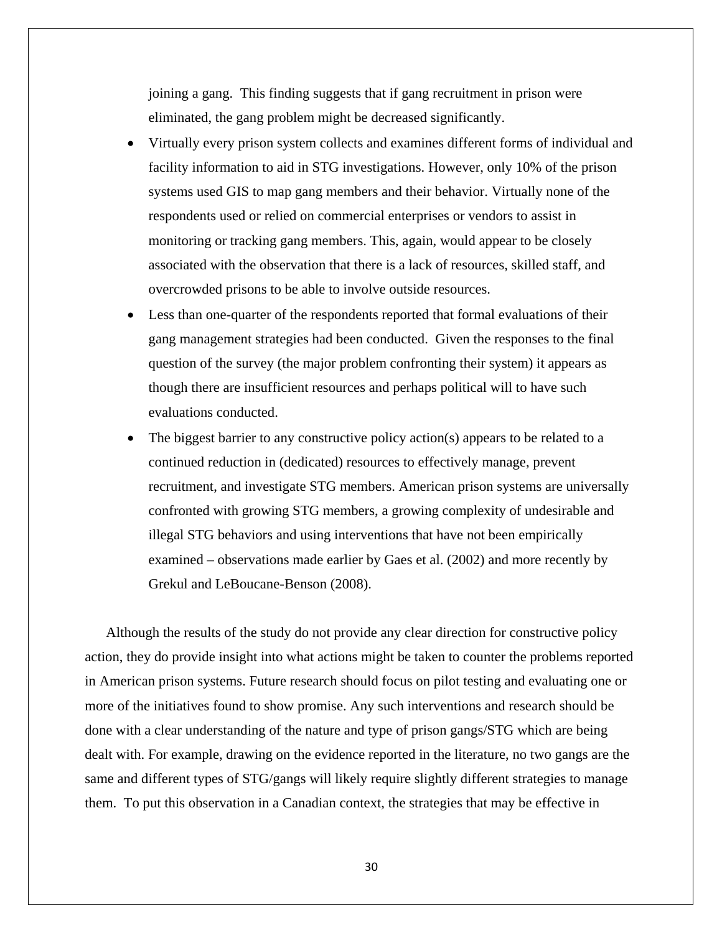joining a gang. This finding suggests that if gang recruitment in prison were eliminated, the gang problem might be decreased significantly.

- Virtually every prison system collects and examines different forms of individual and facility information to aid in STG investigations. However, only 10% of the prison systems used GIS to map gang members and their behavior. Virtually none of the respondents used or relied on commercial enterprises or vendors to assist in monitoring or tracking gang members. This, again, would appear to be closely associated with the observation that there is a lack of resources, skilled staff, and overcrowded prisons to be able to involve outside resources.
- Less than one-quarter of the respondents reported that formal evaluations of their gang management strategies had been conducted. Given the responses to the final question of the survey (the major problem confronting their system) it appears as though there are insufficient resources and perhaps political will to have such evaluations conducted.
- The biggest barrier to any constructive policy action(s) appears to be related to a continued reduction in (dedicated) resources to effectively manage, prevent recruitment, and investigate STG members. American prison systems are universally confronted with growing STG members, a growing complexity of undesirable and illegal STG behaviors and using interventions that have not been empirically examined – observations made earlier by Gaes et al. (2002) and more recently by Grekul and LeBoucane-Benson (2008).

Although the results of the study do not provide any clear direction for constructive policy action, they do provide insight into what actions might be taken to counter the problems reported in American prison systems. Future research should focus on pilot testing and evaluating one or more of the initiatives found to show promise. Any such interventions and research should be done with a clear understanding of the nature and type of prison gangs/STG which are being dealt with. For example, drawing on the evidence reported in the literature, no two gangs are the same and different types of STG/gangs will likely require slightly different strategies to manage them. To put this observation in a Canadian context, the strategies that may be effective in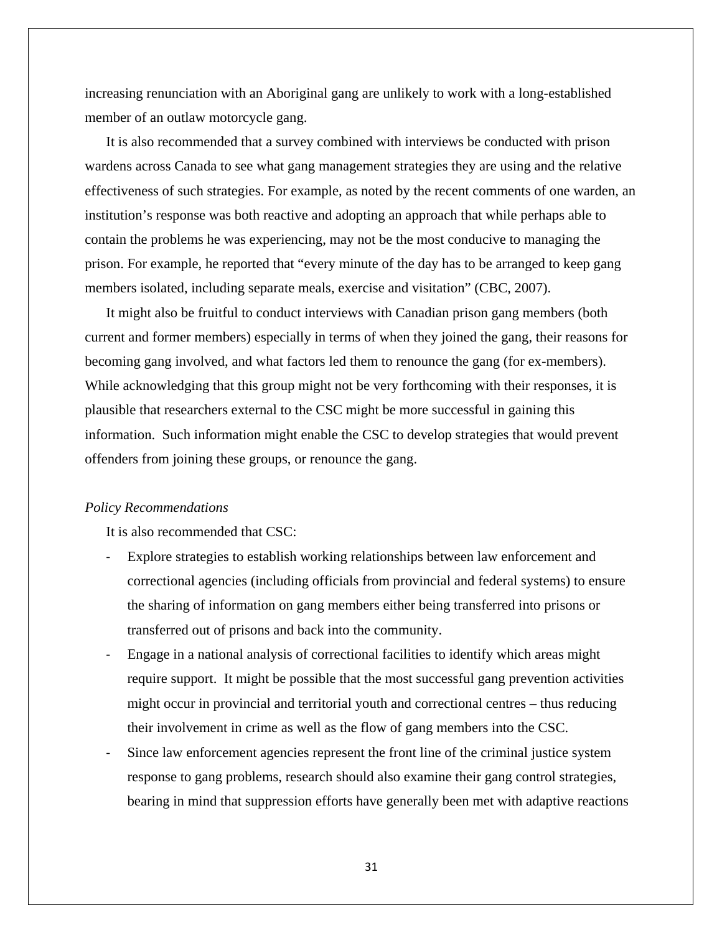increasing renunciation with an Aboriginal gang are unlikely to work with a long-established member of an outlaw motorcycle gang.

It is also recommended that a survey combined with interviews be conducted with prison wardens across Canada to see what gang management strategies they are using and the relative effectiveness of such strategies. For example, as noted by the recent comments of one warden, an institution's response was both reactive and adopting an approach that while perhaps able to contain the problems he was experiencing, may not be the most conducive to managing the prison. For example, he reported that "every minute of the day has to be arranged to keep gang members isolated, including separate meals, exercise and visitation" (CBC, 2007).

It might also be fruitful to conduct interviews with Canadian prison gang members (both current and former members) especially in terms of when they joined the gang, their reasons for becoming gang involved, and what factors led them to renounce the gang (for ex-members). While acknowledging that this group might not be very forthcoming with their responses, it is plausible that researchers external to the CSC might be more successful in gaining this information. Such information might enable the CSC to develop strategies that would prevent offenders from joining these groups, or renounce the gang.

## *Policy Recommendations*

It is also recommended that CSC:

- Explore strategies to establish working relationships between law enforcement and correctional agencies (including officials from provincial and federal systems) to ensure the sharing of information on gang members either being transferred into prisons or transferred out of prisons and back into the community.
- ‐ Engage in a national analysis of correctional facilities to identify which areas might require support. It might be possible that the most successful gang prevention activities might occur in provincial and territorial youth and correctional centres – thus reducing their involvement in crime as well as the flow of gang members into the CSC.
- Since law enforcement agencies represent the front line of the criminal justice system response to gang problems, research should also examine their gang control strategies, bearing in mind that suppression efforts have generally been met with adaptive reactions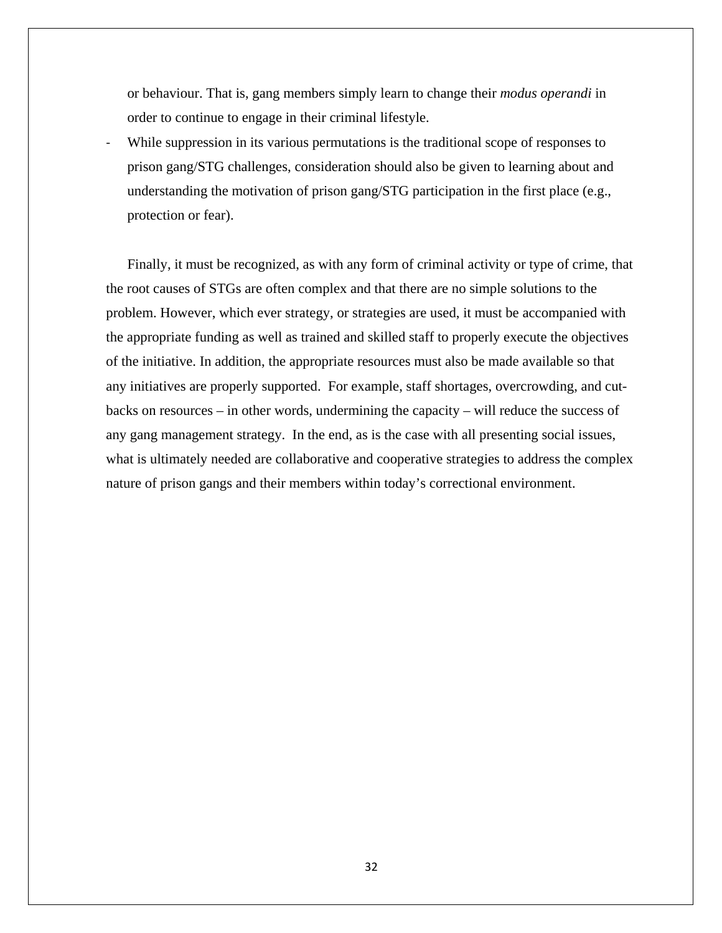or behaviour. That is, gang members simply learn to change their *modus operandi* in order to continue to engage in their criminal lifestyle.

While suppression in its various permutations is the traditional scope of responses to prison gang/STG challenges, consideration should also be given to learning about and understanding the motivation of prison gang/STG participation in the first place (e.g., protection or fear).

Finally, it must be recognized, as with any form of criminal activity or type of crime, that the root causes of STGs are often complex and that there are no simple solutions to the problem. However, which ever strategy, or strategies are used, it must be accompanied with the appropriate funding as well as trained and skilled staff to properly execute the objectives of the initiative. In addition, the appropriate resources must also be made available so that any initiatives are properly supported. For example, staff shortages, overcrowding, and cutbacks on resources – in other words, undermining the capacity – will reduce the success of any gang management strategy. In the end, as is the case with all presenting social issues, what is ultimately needed are collaborative and cooperative strategies to address the complex nature of prison gangs and their members within today's correctional environment.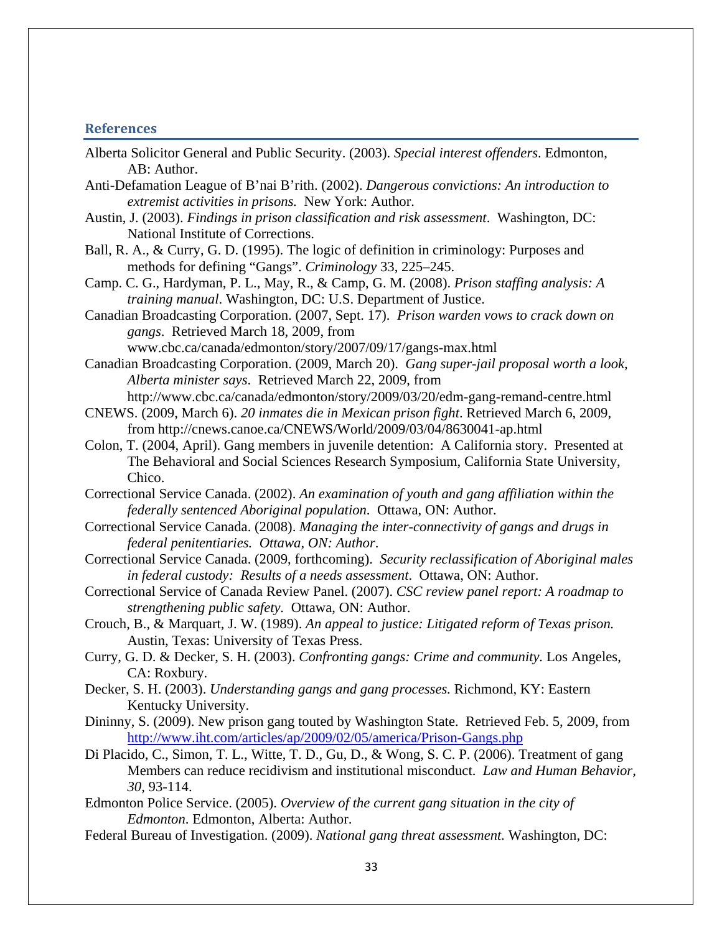### <span id="page-32-0"></span>**References**

- Alberta Solicitor General and Public Security. (2003). *Special interest offenders*. Edmonton, AB: Author.
- Anti-Defamation League of B'nai B'rith. (2002). *Dangerous convictions: An introduction to extremist activities in prisons.* New York: Author.
- Austin, J. (2003). *Findings in prison classification and risk assessment*. Washington, DC: National Institute of Corrections.
- Ball, R. A., & Curry, G. D. (1995). The logic of definition in criminology: Purposes and methods for defining "Gangs". *Criminology* 33, 225–245.
- Camp. C. G., Hardyman, P. L., May, R., & Camp, G. M. (2008). *Prison staffing analysis: A training manual*. Washington, DC: U.S. Department of Justice.
- Canadian Broadcasting Corporation. (2007, Sept. 17). *Prison warden vows to crack down on gangs*. Retrieved March 18, 2009, from

[www.cbc.ca/canada/edmonton/story/2007/09/17/gangs-max.html](http://www.cbc.ca/canada/edmonton/story/2007/09/17/gangs-max.html%20Retrieved%20March%2018) 

Canadian Broadcasting Corporation. (2009, March 20). *Gang super-jail proposal worth a look, Alberta minister says*. Retrieved March 22, 2009, from

http://www.cbc.ca/canada/edmonton/story/2009/03/20/edm-gang-remand-centre.html CNEWS. (2009, March 6). *20 inmates die in Mexican prison fight*. Retrieved March 6, 2009, from <http://cnews.canoe.ca/CNEWS/World/2009/03/04/8630041-ap.html>

Colon, T. (2004, April). Gang members in juvenile detention: A California story. Presented at The Behavioral and Social Sciences Research Symposium, California State University, Chico.

Correctional Service Canada. (2002). *An examination of youth and gang affiliation within the federally sentenced Aboriginal population*. Ottawa, ON: Author.

Correctional Service Canada. (2008). *Managing the inter-connectivity of gangs and drugs in federal penitentiaries. Ottawa, ON: Author*.

Correctional Service Canada. (2009, forthcoming). *Security reclassification of Aboriginal males in federal custody: Results of a needs assessment*. Ottawa, ON: Author.

Correctional Service of Canada Review Panel. (2007). *CSC review panel report: A roadmap to strengthening public safety.* Ottawa, ON: Author.

Crouch, B., & Marquart, J. W. (1989). *An appeal to justice: Litigated reform of Texas prison.*  Austin, Texas: University of Texas Press.

Curry, G. D. & Decker, S. H. (2003). *Confronting gangs: Crime and community.* Los Angeles, CA: Roxbury.

Decker, S. H. (2003). *Understanding gangs and gang processes.* Richmond, KY: Eastern Kentucky University.

Dininny, S. (2009). New prison gang touted by Washington State. Retrieved Feb. 5, 2009, from <http://www.iht.com/articles/ap/2009/02/05/america/Prison-Gangs.php>

Di Placido, C., Simon, T. L., Witte, T. D., Gu, D., & Wong, S. C. P. (2006). Treatment of gang Members can reduce recidivism and institutional misconduct. *Law and Human Behavior, 30,* 93-114.

Edmonton Police Service. (2005). *Overview of the current gang situation in the city of Edmonton*. Edmonton, Alberta: Author.

Federal Bureau of Investigation. (2009). *National gang threat assessment.* Washington, DC: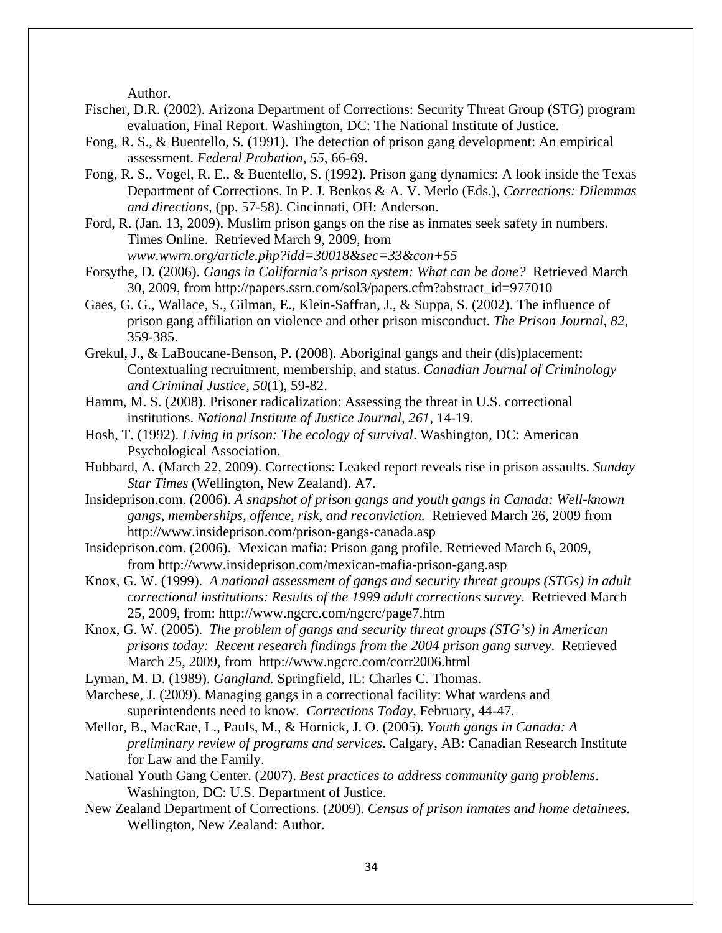Author.

- Fischer, D.R. (2002). Arizona Department of Corrections: Security Threat Group (STG) program evaluation, Final Report. Washington, DC: The National Institute of Justice.
- Fong, R. S., & Buentello, S. (1991). The detection of prison gang development: An empirical assessment. *Federal Probation, 55*, 66-69.
- Fong, R. S., Vogel, R. E., & Buentello, S. (1992). Prison gang dynamics: A look inside the Texas Department of Corrections. In P. J. Benkos & A. V. Merlo (Eds.), *Corrections: Dilemmas and directions,* (pp. 57-58). Cincinnati, OH: Anderson.

Ford, R. (Jan. 13, 2009). Muslim prison gangs on the rise as inmates seek safety in numbers. Times Online. Retrieved March 9, 2009, from *[www.wwrn.org/article.php?idd=30018&sec=33&con+55](http://www.wwrn.org/article.php?idd=30018&sec=33&con+55)*

Forsythe, D. (2006). *Gangs in California's prison system: What can be done?* Retrieved March 30, 2009, from http://papers.ssrn.com/sol3/papers.cfm?abstract\_id=977010

- Gaes, G. G., Wallace, S., Gilman, E., Klein-Saffran, J., & Suppa, S. (2002). The influence of prison gang affiliation on violence and other prison misconduct. *The Prison Journal, 82*, 359-385.
- Grekul, J., & LaBoucane-Benson, P. (2008). Aboriginal gangs and their (dis)placement: Contextualing recruitment, membership, and status. *Canadian Journal of Criminology and Criminal Justice, 50*(1), 59-82.
- Hamm, M. S. (2008). Prisoner radicalization: Assessing the threat in U.S. correctional institutions. *National Institute of Justice Journal, 261*, 14-19.
- Hosh, T. (1992). *Living in prison: The ecology of survival*. Washington, DC: American Psychological Association.

Hubbard, A. (March 22, 2009). Corrections: Leaked report reveals rise in prison assaults. *Sunday Star Times* (Wellington, New Zealand). A7.

Insideprison.com. (2006). *A snapshot of prison gangs and youth gangs in Canada: Well-known gangs, memberships, offence, risk, and reconviction.* Retrieved March 26, 2009 from [http://www.insideprison.com/prison-gangs-canada.asp](http://www.insideprison.com/prison-gangs-canada.asp%20Retrieved%20March%2026) 

- Insideprison.com. (2006). Mexican mafia: Prison gang profile. Retrieved March 6, 2009, from [http://www.insideprison.com/mexican-mafia-prison-gang.asp](http://www.insideprison.com/mexican-mafia-prison-gang.asp%20%20Retrieved%20March%2006/09)
- Knox, G. W. (1999). *A national assessment of gangs and security threat groups (STGs) in adult correctional institutions: Results of the 1999 adult corrections survey*. Retrieved March 25, 2009, from: http://www.ngcrc.com/ngcrc/page7.htm
- Knox, G. W. (2005). *The problem of gangs and security threat groups (STG's) in American prisons today: Recent research findings from the 2004 prison gang survey*. Retrieved March 25, 2009, from http://www.ngcrc.com/corr2006.html
- Lyman, M. D. (1989). *Gangland.* Springfield, IL: Charles C. Thomas.
- Marchese, J. (2009). Managing gangs in a correctional facility: What wardens and superintendents need to know. *Corrections Today*, February, 44-47.
- Mellor, B., MacRae, L., Pauls, M., & Hornick, J. O. (2005). *Youth gangs in Canada: A preliminary review of programs and services*. Calgary, AB: Canadian Research Institute for Law and the Family.
- National Youth Gang Center. (2007). *Best practices to address community gang problems*. Washington, DC: U.S. Department of Justice.
- New Zealand Department of Corrections. (2009). *Census of prison inmates and home detainees*. Wellington, New Zealand: Author.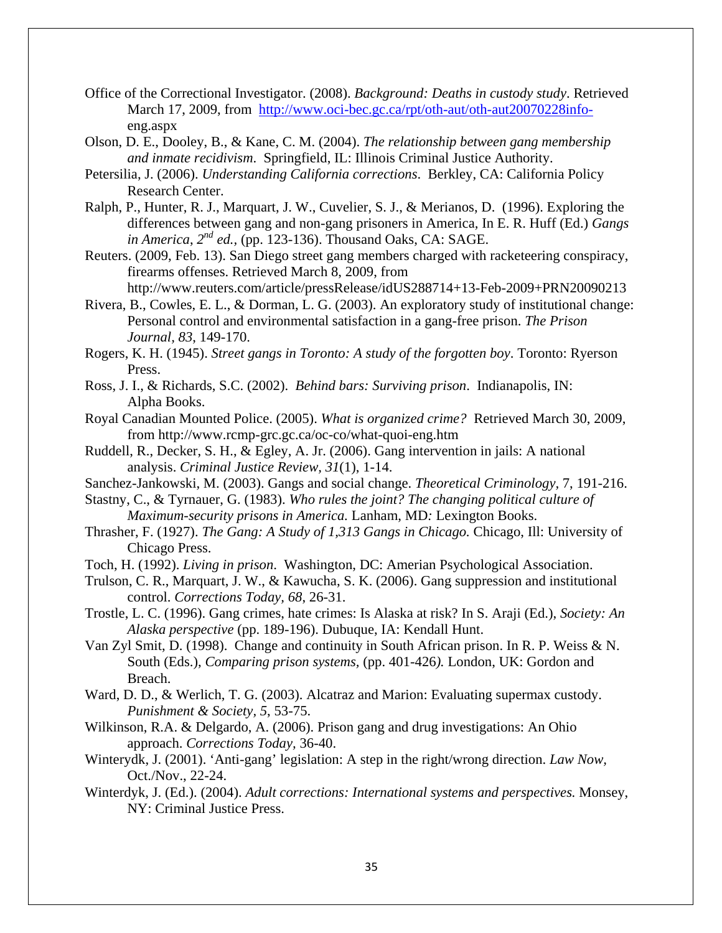- Office of the Correctional Investigator. (2008). *Background: Deaths in custody study*. Retrieved March 17, 2009, from [http://www.oci-bec.gc.ca/rpt/oth-aut/oth-aut20070228info](http://www.oci-bec.gc.ca/rpt/oth-aut/oth-aut20070228info-)eng.aspx
- Olson, D. E., Dooley, B., & Kane, C. M. (2004). *The relationship between gang membership and inmate recidivism*. Springfield, IL: Illinois Criminal Justice Authority.
- Petersilia, J. (2006). *Understanding California corrections*. Berkley, CA: California Policy Research Center.
- Ralph, P., Hunter, R. J., Marquart, J. W., Cuvelier, S. J., & Merianos, D. (1996). Exploring the differences between gang and non-gang prisoners in America*,* In E. R. Huff (Ed.) *Gangs in America*, *2nd ed.,* (pp. 123-136). Thousand Oaks, CA: SAGE.

Reuters. (2009, Feb. 13). San Diego street gang members charged with racketeering conspiracy, firearms offenses. Retrieved March 8, 2009, from

<http://www.reuters.com/article/pressRelease/idUS288714+13-Feb-2009+PRN20090213> Rivera, B., Cowles, E. L., & Dorman, L. G. (2003). An exploratory study of institutional change:

Personal control and environmental satisfaction in a gang-free prison. *The Prison Journal, 83*, 149-170.

Rogers, K. H. (1945). *Street gangs in Toronto: A study of the forgotten boy*. Toronto: Ryerson Press.

- Ross, J. I., & Richards, S.C. (2002). *Behind bars: Surviving prison*. Indianapolis, IN: Alpha Books.
- Royal Canadian Mounted Police. (2005). *What is organized crime?* Retrieved March 30, 2009, from http://www.rcmp-grc.gc.ca/oc-co/what-quoi-eng.htm
- Ruddell, R., Decker, S. H., & Egley, A. Jr. (2006). Gang intervention in jails: A national analysis. *Criminal Justice Review, 31*(1), 1-14.
- Sanchez-Jankowski, M. (2003). Gangs and social change. *Theoretical Criminology,* 7, 191-216.

Stastny, C., & Tyrnauer, G. (1983). *Who rules the joint? The changing political culture of Maximum-security prisons in America.* Lanham, MD*:* Lexington Books.

Thrasher, F. (1927). *The Gang: A Study of 1,313 Gangs in Chicago.* Chicago, Ill: University of Chicago Press.

Toch, H. (1992). *Living in prison*. Washington, DC: Amerian Psychological Association.

- Trulson, C. R., Marquart, J. W., & Kawucha, S. K. (2006). Gang suppression and institutional control. *Corrections Today, 68*, 26-31.
- Trostle, L. C. (1996). Gang crimes, hate crimes: Is Alaska at risk? In S. Araji (Ed.), *Society: An Alaska perspective* (pp. 189-196). Dubuque, IA: Kendall Hunt.
- Van Zyl Smit, D. (1998). Change and continuity in South African prison. In R. P. Weiss & N. South (Eds.), *Comparing prison systems,* (pp. 401-426*).* London, UK: Gordon and Breach.
- Ward, D. D., & Werlich, T. G. (2003). Alcatraz and Marion: Evaluating supermax custody. *Punishment & Society, 5*, 53-75.
- Wilkinson, R.A. & Delgardo, A. (2006). Prison gang and drug investigations: An Ohio approach. *Corrections Today,* 36-40.
- Winterydk, J. (2001). 'Anti-gang' legislation: A step in the right/wrong direction. *Law Now,*  Oct./Nov., 22-24.
- Winterdyk, J. (Ed.). (2004). *Adult corrections: International systems and perspectives.* Monsey, NY: Criminal Justice Press.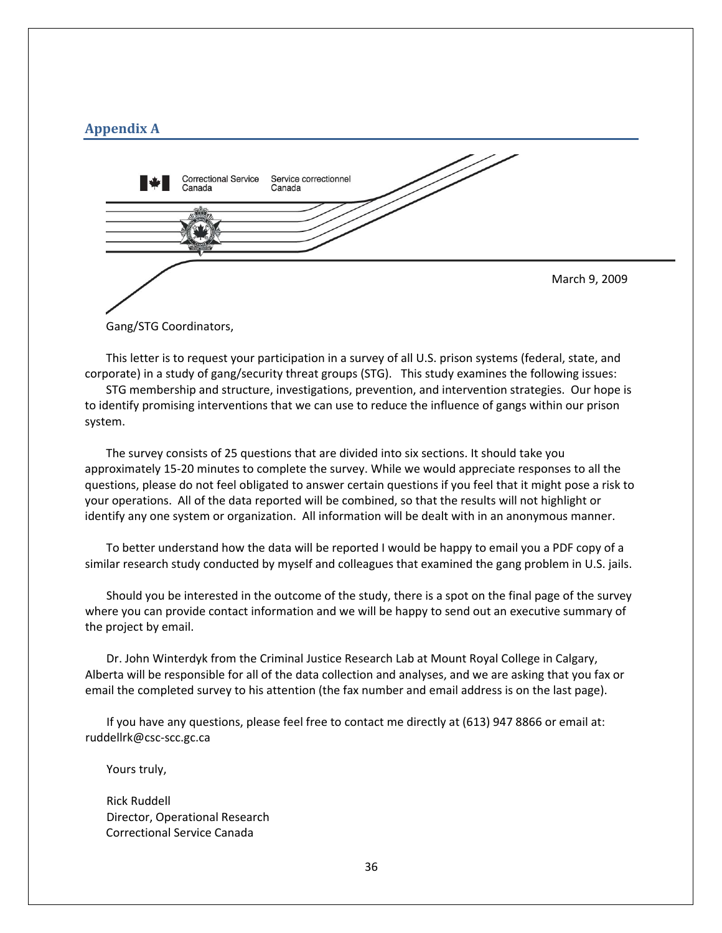# <span id="page-35-0"></span>**Appendix A**



Gang/STG Coordinators,

This letter is to request your participation in a survey of all U.S. prison systems (federal, state, and corporate) in a study of gang/security threat groups (STG). This study examines the following issues:

STG membership and structure, investigations, prevention, and intervention strategies. Our hope is to identify promising interventions that we can use to reduce the influence of gangs within our prison system.

The survey consists of 25 questions that are divided into six sections. It should take you approximately 15‐20 minutes to complete the survey. While we would appreciate responses to all the questions, please do not feel obligated to answer certain questions if you feel that it might pose a risk to your operations. All of the data reported will be combined, so that the results will not highlight or identify any one system or organization. All information will be dealt with in an anonymous manner.

To better understand how the data will be reported I would be happy to email you a PDF copy of a similar research study conducted by myself and colleagues that examined the gang problem in U.S. jails.

Should you be interested in the outcome of the study, there is a spot on the final page of the survey where you can provide contact information and we will be happy to send out an executive summary of the project by email.

Dr. John Winterdyk from the Criminal Justice Research Lab at Mount Royal College in Calgary, Alberta will be responsible for all of the data collection and analyses, and we are asking that you fax or email the completed survey to his attention (the fax number and email address is on the last page).

If you have any questions, please feel free to contact me directly at (613) 947 8866 or email at: ruddellrk@csc‐scc.gc.ca

Yours truly,

Rick Ruddell Director, Operational Research Correctional Service Canada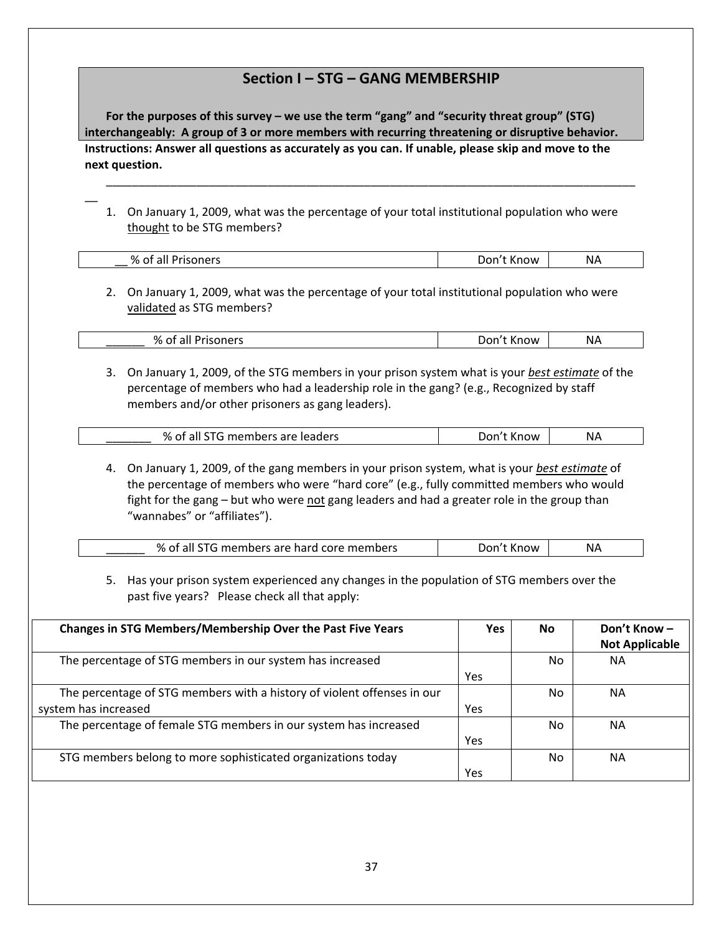# **Section I – STG – GANG MEMBERSHIP**

**Instructions: Answer all questions as accurately as you can. If unable, please skip and move to the next question. For the purposes of this survey – we use the term "gang" and "security threat group" (STG) interchangeably: A group of 3 or more members with recurring threatening or disruptive behavior.**

1. On January 1, 2009, what was the percentage of your total institutional population who were thought to be STG members?

 $\overline{\phantom{a}}$ 

| %<br>Prisoners<br>of all<br>$-$ | . .<br>: Know<br>Don't | ΝA |
|---------------------------------|------------------------|----|
|                                 |                        |    |

\_\_\_\_\_\_\_\_\_\_\_\_\_\_\_\_\_\_\_\_\_\_\_\_\_\_\_\_\_\_\_\_\_\_\_\_\_\_\_\_\_\_\_\_\_\_\_\_\_\_\_\_\_\_\_\_\_\_\_\_\_\_\_\_\_\_\_\_\_\_\_\_\_\_\_\_\_\_\_\_\_\_

2. On January 1, 2009, what was the percentage of your total institutional population who were validated as STG members?

| % of all Prisoners | Don't Know | NА |
|--------------------|------------|----|
|                    |            |    |

3. On January 1, 2009, of the STG members in your prison system what is your *best estimate* of the percentage of members who had a leadership role in the gang? (e.g., Recognized by staff members and/or other prisoners as gang leaders).

| % of all STG members are leaders | Don't Know | ΝA |
|----------------------------------|------------|----|
|                                  |            |    |

4. On January 1, 2009, of the gang members in your prison system, what is your *best estimate* of the percentage of members who were "hard core" (e.g., fully committed members who would fight for the gang – but who were not gang leaders and had a greater role in the group than "wannabes" or "affiliates").

| %<br>, members are hard core members .<br>all | Jor'<br>nnw | NΑ |
|-----------------------------------------------|-------------|----|
|-----------------------------------------------|-------------|----|

5. Has your prison system experienced any changes in the population of STG members over the past five years? Please check all that apply:

| <b>Changes in STG Members/Membership Over the Past Five Years</b>       | <b>Yes</b> | <b>No</b> | Don't Know-           |
|-------------------------------------------------------------------------|------------|-----------|-----------------------|
|                                                                         |            |           | <b>Not Applicable</b> |
| The percentage of STG members in our system has increased               |            | No.       | NА                    |
|                                                                         | Yes        |           |                       |
| The percentage of STG members with a history of violent offenses in our |            | No.       | NА                    |
| system has increased                                                    | Yes        |           |                       |
| The percentage of female STG members in our system has increased        |            | No.       | <b>NA</b>             |
|                                                                         | Yes        |           |                       |
| STG members belong to more sophisticated organizations today            |            | No.       | NА                    |
|                                                                         | Yes        |           |                       |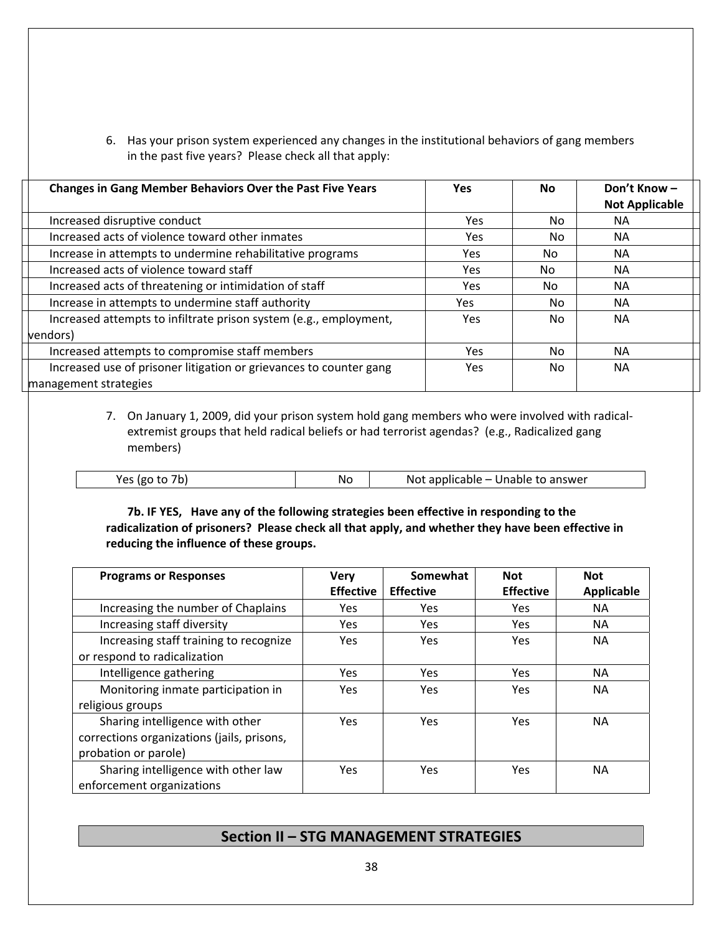6. Has your prison system experienced any changes in the institutional behaviors of gang members in the past five years? Please check all that apply:

| <b>Changes in Gang Member Behaviors Over the Past Five Years</b> |                                                                    | <b>Yes</b> | No. | Don't Know-           |  |
|------------------------------------------------------------------|--------------------------------------------------------------------|------------|-----|-----------------------|--|
|                                                                  |                                                                    |            |     | <b>Not Applicable</b> |  |
|                                                                  | Increased disruptive conduct                                       | Yes        | No. | NA.                   |  |
|                                                                  | Increased acts of violence toward other inmates                    | Yes        | No. | NА                    |  |
|                                                                  | Increase in attempts to undermine rehabilitative programs          | Yes.       | No. | <b>NA</b>             |  |
|                                                                  | Increased acts of violence toward staff                            | Yes.       | No. | <b>NA</b>             |  |
|                                                                  | Increased acts of threatening or intimidation of staff             | Yes.       | No. | NA.                   |  |
|                                                                  | Increase in attempts to undermine staff authority                  | Yes        | No. | <b>NA</b>             |  |
|                                                                  | Increased attempts to infiltrate prison system (e.g., employment,  | Yes.       | No. | <b>NA</b>             |  |
|                                                                  | vendors)                                                           |            |     |                       |  |
|                                                                  | Increased attempts to compromise staff members                     | Yes        | No. | <b>NA</b>             |  |
|                                                                  | Increased use of prisoner litigation or grievances to counter gang | Yes.       | No. | <b>NA</b>             |  |
|                                                                  | management strategies                                              |            |     |                       |  |

7. On January 1, 2009, did your prison system hold gang members who were involved with radical‐ extremist groups that held radical beliefs or had terrorist agendas? (e.g., Radicalized gang members)

| $\overline{\phantom{a}}$<br>Vac<br>ισς<br>ີ | ΝO | Unable to answer<br>applicable<br>Not.<br>$\overline{\phantom{0}}$ |
|---------------------------------------------|----|--------------------------------------------------------------------|

**7b. IF YES, Have any of the following strategies been effective in responding to the radicalization of prisoners? Please check all that apply, and whether they have been effective in reducing the influence of these groups.**

| <b>Programs or Responses</b>                                           | <b>Very</b><br><b>Effective</b> | Somewhat<br><b>Effective</b> | <b>Not</b><br><b>Effective</b> | <b>Not</b><br>Applicable |
|------------------------------------------------------------------------|---------------------------------|------------------------------|--------------------------------|--------------------------|
| Increasing the number of Chaplains                                     | Yes.                            | Yes                          | Yes                            | <b>NA</b>                |
| Increasing staff diversity                                             | Yes                             | Yes                          | Yes                            | NA.                      |
| Increasing staff training to recognize<br>or respond to radicalization | Yes                             | Yes                          | Yes                            | <b>NA</b>                |
| Intelligence gathering                                                 | Yes                             | Yes                          | Yes                            | <b>NA</b>                |
| Monitoring inmate participation in                                     | Yes                             | Yes                          | Yes                            | <b>NA</b>                |
| religious groups                                                       |                                 |                              |                                |                          |
| Sharing intelligence with other                                        | Yes                             | Yes                          | Yes                            | <b>NA</b>                |
| corrections organizations (jails, prisons,                             |                                 |                              |                                |                          |
| probation or parole)                                                   |                                 |                              |                                |                          |
| Sharing intelligence with other law                                    | Yes                             | Yes                          | Yes                            | <b>NA</b>                |
| enforcement organizations                                              |                                 |                              |                                |                          |

# **Section II – STG MANAGEMENT STRATEGIES**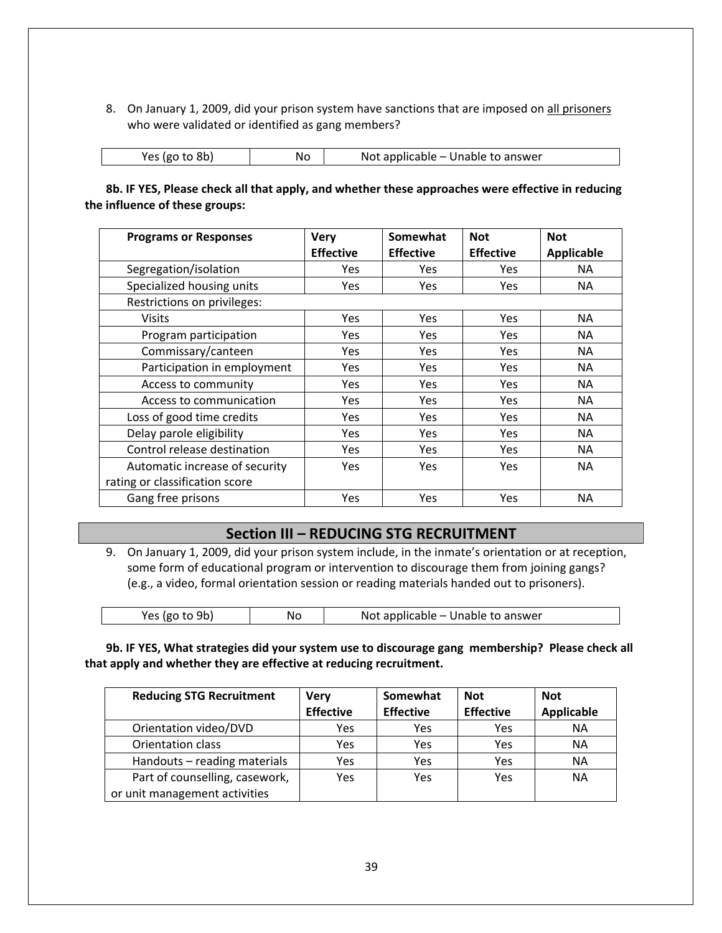8. On January 1, 2009, did your prison system have sanctions that are imposed on all prisoners who were validated or identified as gang members?

| Yes (go to 8b) | No | Not applicable – Unable to answer |
|----------------|----|-----------------------------------|
|                |    |                                   |

**8b. IF YES, Please check all that apply, and whether these approaches were effective in reducing the influence of these groups:**

| <b>Programs or Responses</b>   | <b>Very</b>      | Somewhat         | <b>Not</b>       | <b>Not</b> |
|--------------------------------|------------------|------------------|------------------|------------|
|                                | <b>Effective</b> | <b>Effective</b> | <b>Effective</b> | Applicable |
| Segregation/isolation          | Yes              | Yes              | <b>Yes</b>       | NA.        |
| Specialized housing units      | <b>Yes</b>       | <b>Yes</b>       | Yes              | NA.        |
| Restrictions on privileges:    |                  |                  |                  |            |
| <b>Visits</b>                  | <b>Yes</b>       | <b>Yes</b>       | <b>Yes</b>       | NA.        |
| Program participation          | <b>Yes</b>       | <b>Yes</b>       | <b>Yes</b>       | NA.        |
| Commissary/canteen             | <b>Yes</b>       | <b>Yes</b>       | <b>Yes</b>       | NA.        |
| Participation in employment    | Yes              | Yes              | <b>Yes</b>       | NA.        |
| Access to community            | <b>Yes</b>       | Yes              | Yes.             | NA.        |
| Access to communication        | <b>Yes</b>       | <b>Yes</b>       | Yes.             | NA.        |
| Loss of good time credits      | <b>Yes</b>       | Yes              | <b>Yes</b>       | <b>NA</b>  |
| Delay parole eligibility       | Yes              | <b>Yes</b>       | <b>Yes</b>       | NА         |
| Control release destination    | <b>Yes</b>       | <b>Yes</b>       | <b>Yes</b>       | NA.        |
| Automatic increase of security | <b>Yes</b>       | <b>Yes</b>       | <b>Yes</b>       | <b>NA</b>  |
| rating or classification score |                  |                  |                  |            |
| Gang free prisons              | Yes              | Yes              | Yes              | <b>NA</b>  |

# **Section III – REDUCING STG RECRUITMENT**

9. On January 1, 2009, did your prison system include, in the inmate's orientation or at reception, some form of educational program or intervention to discourage them from joining gangs? (e.g., a video, formal orientation session or reading materials handed out to prisoners).

| Yes (go to 9b) | No | Not applicable – Unable to answer |
|----------------|----|-----------------------------------|
|----------------|----|-----------------------------------|

**9b. IF YES, What strategies did your system use to discourage gang membership? Please check all that apply and whether they are effective at reducing recruitment.**

| <b>Reducing STG Recruitment</b> | <b>Very</b>      | Somewhat         | <b>Not</b>       | <b>Not</b> |
|---------------------------------|------------------|------------------|------------------|------------|
|                                 | <b>Effective</b> | <b>Effective</b> | <b>Effective</b> | Applicable |
| Orientation video/DVD           | Yes              | Yes              | Yes              | <b>NA</b>  |
| Orientation class               | Yes              | Yes              | Yes              | <b>NA</b>  |
| Handouts - reading materials    | Yes              | Yes              | Yes              | <b>NA</b>  |
| Part of counselling, casework,  | Yes              | Yes              | Yes              | NΑ         |
| or unit management activities   |                  |                  |                  |            |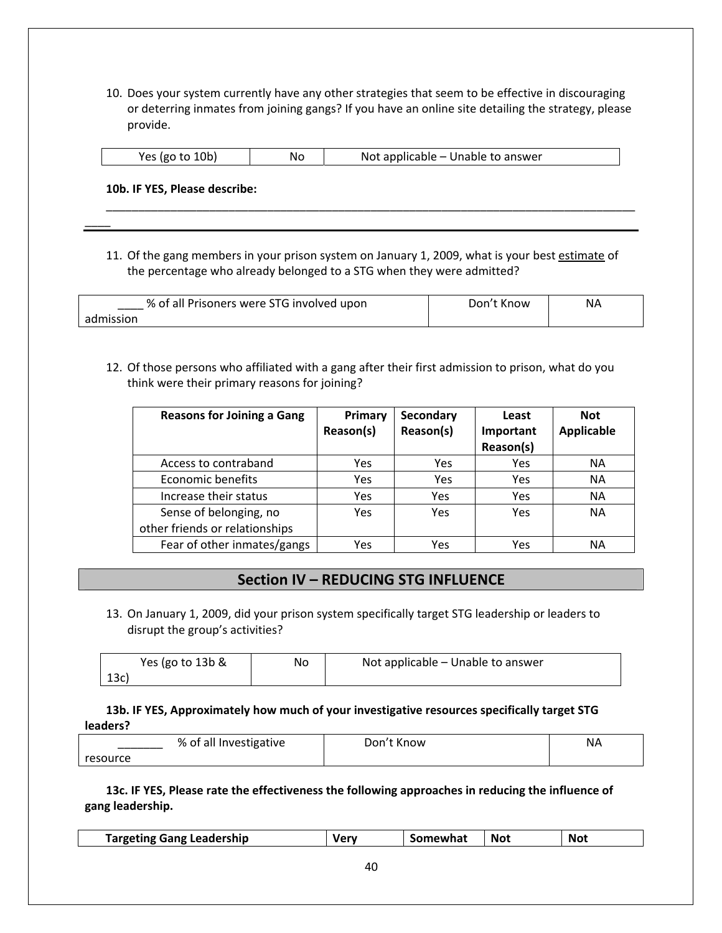10. Does your system currently have any other strategies that seem to be effective in discouraging or deterring inmates from joining gangs? If you have an online site detailing the strategy, please provide.

| Yes (go to 10b)<br>No | Not applicable – Unable to answer |
|-----------------------|-----------------------------------|
|-----------------------|-----------------------------------|

\_\_\_\_\_\_\_\_\_\_\_\_\_\_\_\_\_\_\_\_\_\_\_\_\_\_\_\_\_\_\_\_\_\_\_\_\_\_\_\_\_\_\_\_\_\_\_\_\_\_\_\_\_\_\_\_\_\_\_\_\_\_\_\_\_\_\_\_\_\_\_\_\_\_\_\_\_\_\_\_\_\_

**10b. IF YES, Please describe:**

 $\overline{\phantom{a}}$ 

11. Of the gang members in your prison system on January 1, 2009, what is your best estimate of the percentage who already belonged to a STG when they were admitted?

| % of all Prisoners were STG involved upon | Don't Know | ΝA |
|-------------------------------------------|------------|----|
| admission                                 |            |    |

12. Of those persons who affiliated with a gang after their first admission to prison, what do you think were their primary reasons for joining?

| <b>Reasons for Joining a Gang</b> | Primary<br>Reason(s) | Secondary<br>Reason(s) | Least<br>Important<br>Reason(s) | <b>Not</b><br><b>Applicable</b> |
|-----------------------------------|----------------------|------------------------|---------------------------------|---------------------------------|
| Access to contraband              | Yes                  | Yes                    | Yes                             | <b>NA</b>                       |
| <b>Economic benefits</b>          | Yes                  | Yes                    | Yes                             | <b>NA</b>                       |
| Increase their status             | Yes                  | Yes                    | Yes                             | <b>NA</b>                       |
| Sense of belonging, no            | Yes                  | Yes                    | Yes                             | <b>NA</b>                       |
| other friends or relationships    |                      |                        |                                 |                                 |
| Fear of other inmates/gangs       | Yes                  | Yes                    | Yes                             | NА                              |

# **Section IV – REDUCING STG INFLUENCE**

13. On January 1, 2009, did your prison system specifically target STG leadership or leaders to disrupt the group's activities?

| Yes (go to 13b & | No | Not applicable – Unable to answer |
|------------------|----|-----------------------------------|
| 13c)             |    |                                   |

**13b. IF YES, Approximately how much of your investigative resources specifically target STG leaders?**

|          | % of all Investigative | Don't Know | <b>NA</b> |
|----------|------------------------|------------|-----------|
| resource |                        |            |           |

**13c. IF YES, Please rate the effectiveness the following approaches in reducing the influence of gang leadership.**

| Targeting Gang Leadership | ۷ar | Somewhat | <b>Not</b> | Not |  |
|---------------------------|-----|----------|------------|-----|--|
|                           |     |          |            |     |  |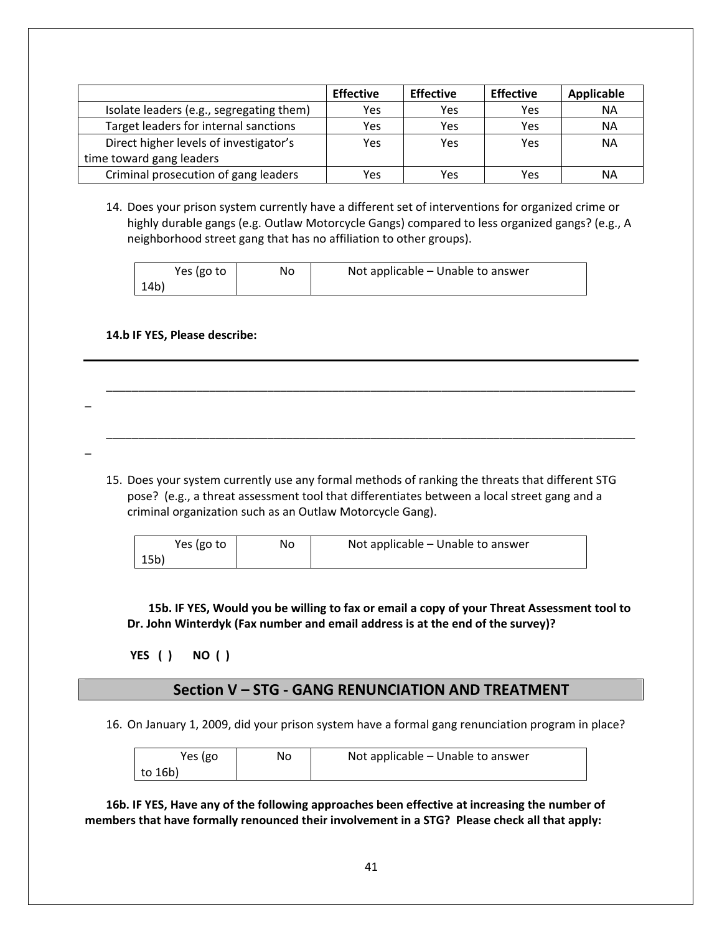|                                          | <b>Effective</b> | <b>Effective</b> | <b>Effective</b> | Applicable |
|------------------------------------------|------------------|------------------|------------------|------------|
| Isolate leaders (e.g., segregating them) | Yes              | Yes              | Yes              | <b>NA</b>  |
| Target leaders for internal sanctions    | Yes              | Yes              | Yes              | ΝA         |
| Direct higher levels of investigator's   | Yes              | Yes              | Yes              | ΝA         |
| time toward gang leaders                 |                  |                  |                  |            |
| Criminal prosecution of gang leaders     | Yes              | Yes              | Yes              | ΝA         |

14. Does your prison system currently have a different set of interventions for organized crime or highly durable gangs (e.g. Outlaw Motorcycle Gangs) compared to less organized gangs? (e.g., A neighborhood street gang that has no affiliation to other groups).

| Yes (go to | No | Not applicable - Unable to answer |
|------------|----|-----------------------------------|
| 14b)       |    |                                   |

\_\_\_\_\_\_\_\_\_\_\_\_\_\_\_\_\_\_\_\_\_\_\_\_\_\_\_\_\_\_\_\_\_\_\_\_\_\_\_\_\_\_\_\_\_\_\_\_\_\_\_\_\_\_\_\_\_\_\_\_\_\_\_\_\_\_\_\_\_\_\_\_\_\_\_\_\_\_\_\_\_\_

\_\_\_\_\_\_\_\_\_\_\_\_\_\_\_\_\_\_\_\_\_\_\_\_\_\_\_\_\_\_\_\_\_\_\_\_\_\_\_\_\_\_\_\_\_\_\_\_\_\_\_\_\_\_\_\_\_\_\_\_\_\_\_\_\_\_\_\_\_\_\_\_\_\_\_\_\_\_\_\_\_\_

#### **14.b IF YES, Please describe:**

\_

\_

15. Does your system currently use any formal methods of ranking the threats that different STG pose? (e.g., a threat assessment tool that differentiates between a local street gang and a criminal organization such as an Outlaw Motorcycle Gang).

| Yes (go to | No | Not applicable – Unable to answer |
|------------|----|-----------------------------------|
| 15b)       |    |                                   |

**15b. IF YES, Would you be willing to fax or email a copy of your Threat Assessment tool to Dr. John Winterdyk (Fax number and email address is at the end of the survey)?**

 **YES ( ) NO ( )** 

## **Section V – STG ‐ GANG RENUNCIATION AND TREATMENT**

16. On January 1, 2009, did your prison system have a formal gang renunciation program in place?

| Yes (go | No | Not applicable – Unable to answer |
|---------|----|-----------------------------------|
| to 16b) |    |                                   |

**16b. IF YES, Have any of the following approaches been effective at increasing the number of members that have formally renounced their involvement in a STG? Please check all that apply:**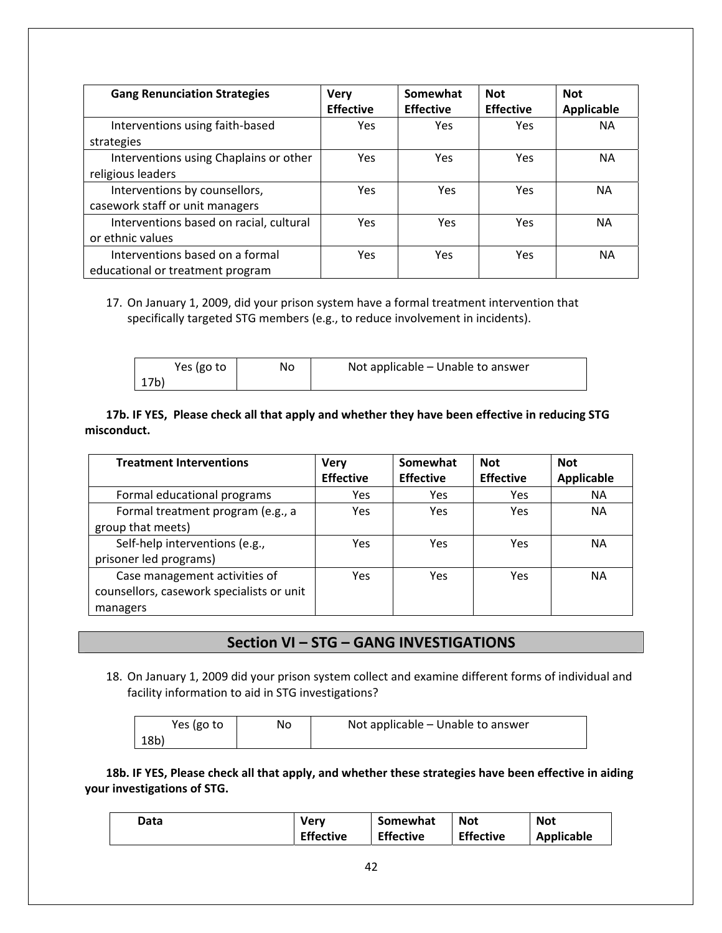| <b>Gang Renunciation Strategies</b>     | <b>Very</b><br><b>Effective</b> | Somewhat<br><b>Effective</b> | <b>Not</b><br><b>Effective</b> | <b>Not</b><br><b>Applicable</b> |
|-----------------------------------------|---------------------------------|------------------------------|--------------------------------|---------------------------------|
| Interventions using faith-based         | Yes.                            | Yes                          | Yes                            | <b>NA</b>                       |
| strategies                              |                                 |                              |                                |                                 |
| Interventions using Chaplains or other  | Yes                             | Yes                          | Yes                            | <b>NA</b>                       |
| religious leaders                       |                                 |                              |                                |                                 |
| Interventions by counsellors,           | Yes                             | Yes                          | Yes                            | ΝA                              |
| casework staff or unit managers         |                                 |                              |                                |                                 |
| Interventions based on racial, cultural | Yes                             | Yes                          | <b>Yes</b>                     | ΝA                              |
| or ethnic values                        |                                 |                              |                                |                                 |
| Interventions based on a formal         | Yes                             | Yes                          | Yes                            | <b>NA</b>                       |
| educational or treatment program        |                                 |                              |                                |                                 |

## 17. On January 1, 2009, did your prison system have a formal treatment intervention that specifically targeted STG members (e.g., to reduce involvement in incidents).

| Yes (go to | No | Not applicable - Unable to answer |
|------------|----|-----------------------------------|
| 17b)       |    |                                   |

## **17b. IF YES, Please check all that apply and whether they have been effective in reducing STG misconduct.**

| <b>Treatment Interventions</b>            | <b>Very</b><br><b>Effective</b> | Somewhat<br><b>Effective</b> | <b>Not</b><br><b>Effective</b> | <b>Not</b><br>Applicable |
|-------------------------------------------|---------------------------------|------------------------------|--------------------------------|--------------------------|
|                                           |                                 |                              |                                |                          |
| Formal educational programs               | Yes                             | Yes                          | Yes                            | <b>NA</b>                |
| Formal treatment program (e.g., a         | Yes                             | Yes                          | Yes                            | <b>NA</b>                |
| group that meets)                         |                                 |                              |                                |                          |
| Self-help interventions (e.g.,            | Yes                             | Yes                          | Yes                            | <b>NA</b>                |
| prisoner led programs)                    |                                 |                              |                                |                          |
| Case management activities of             | <b>Yes</b>                      | Yes                          | Yes                            | <b>NA</b>                |
| counsellors, casework specialists or unit |                                 |                              |                                |                          |
| managers                                  |                                 |                              |                                |                          |

## **Section VI – STG – GANG INVESTIGATIONS**

18. On January 1, 2009 did your prison system collect and examine different forms of individual and facility information to aid in STG investigations?

| Yes (go to | No | Not applicable - Unable to answer |
|------------|----|-----------------------------------|
| 18b)       |    |                                   |

**18b. IF YES, Please check all that apply, and whether these strategies have been effective in aiding your investigations of STG.**

| Data | <b>Very</b>      | Somewhat         | <b>Not</b>       | <b>Not</b>        |
|------|------------------|------------------|------------------|-------------------|
|      | <b>Effective</b> | <b>Effective</b> | <b>Effective</b> | <b>Applicable</b> |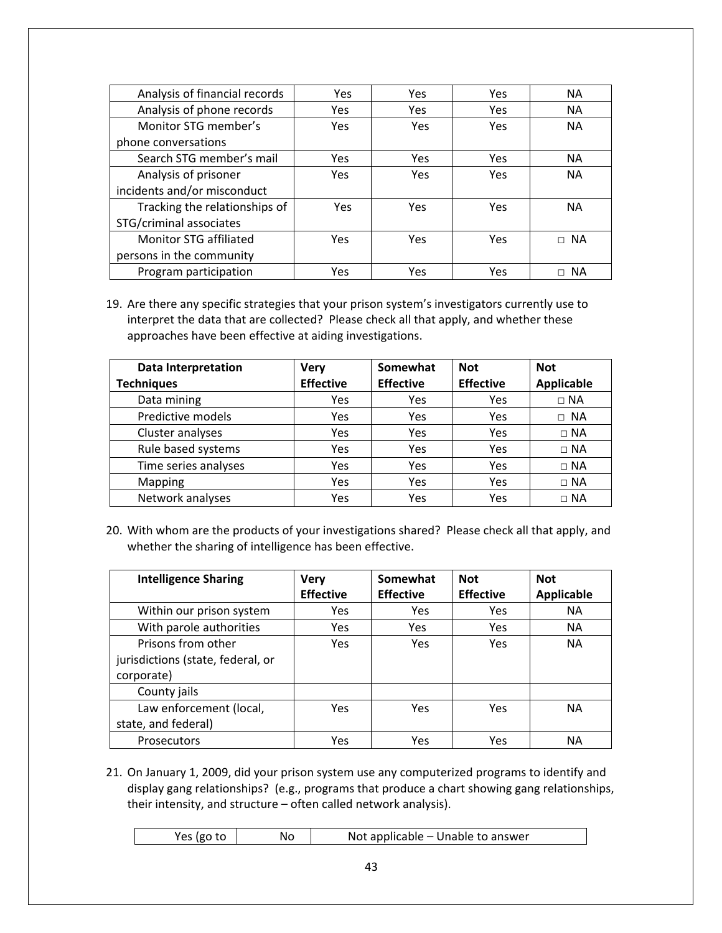| Analysis of financial records | Yes        | <b>Yes</b> | Yes | <b>NA</b> |
|-------------------------------|------------|------------|-----|-----------|
| Analysis of phone records     | <b>Yes</b> | <b>Yes</b> | Yes | <b>NA</b> |
| Monitor STG member's          | <b>Yes</b> | Yes        | Yes | <b>NA</b> |
| phone conversations           |            |            |     |           |
| Search STG member's mail      | <b>Yes</b> | <b>Yes</b> | Yes | <b>NA</b> |
| Analysis of prisoner          | <b>Yes</b> | Yes        | Yes | <b>NA</b> |
| incidents and/or misconduct   |            |            |     |           |
| Tracking the relationships of | Yes        | Yes        | Yes | <b>NA</b> |
| STG/criminal associates       |            |            |     |           |
| Monitor STG affiliated        | Yes        | Yes        | Yes | $\Box$ NA |
| persons in the community      |            |            |     |           |
| Program participation         | Yes        | Yes        | Yes | <b>NA</b> |

19. Are there any specific strategies that your prison system's investigators currently use to interpret the data that are collected? Please check all that apply, and whether these approaches have been effective at aiding investigations.

| <b>Data Interpretation</b><br><b>Techniques</b> | <b>Very</b><br><b>Effective</b> | Somewhat<br><b>Effective</b> | <b>Not</b><br><b>Effective</b> | <b>Not</b><br>Applicable |
|-------------------------------------------------|---------------------------------|------------------------------|--------------------------------|--------------------------|
| Data mining                                     | Yes                             | Yes                          | Yes                            | $\Box$ NA                |
| Predictive models                               | Yes                             | Yes                          | Yes                            | $\Box$ NA                |
| Cluster analyses                                | Yes                             | Yes                          | Yes                            | $\Box$ NA                |
| Rule based systems                              | Yes                             | Yes                          | Yes                            | $\Box$ NA                |
| Time series analyses                            | Yes                             | Yes                          | Yes                            | $\Box$ NA                |
| Mapping                                         | Yes                             | Yes                          | Yes                            | $\Box$ NA                |
| Network analyses                                | Yes                             | Yes                          | Yes                            | $\Box$ NA                |

20. With whom are the products of your investigations shared? Please check all that apply, and whether the sharing of intelligence has been effective.

| <b>Intelligence Sharing</b>                                           | <b>Very</b>      | Somewhat         | <b>Not</b>       | <b>Not</b> |
|-----------------------------------------------------------------------|------------------|------------------|------------------|------------|
|                                                                       | <b>Effective</b> | <b>Effective</b> | <b>Effective</b> | Applicable |
| Within our prison system                                              | Yes              | Yes              | Yes              | <b>NA</b>  |
| With parole authorities                                               | Yes              | Yes              | Yes              | <b>NA</b>  |
| Prisons from other<br>jurisdictions (state, federal, or<br>corporate) | <b>Yes</b>       | Yes              | Yes              | <b>NA</b>  |
| County jails                                                          |                  |                  |                  |            |
| Law enforcement (local,<br>state, and federal)                        | <b>Yes</b>       | Yes              | Yes              | <b>NA</b>  |
| Prosecutors                                                           | Yes              | Yes              | Yes              | NA         |

21. On January 1, 2009, did your prison system use any computerized programs to identify and display gang relationships? (e.g., programs that produce a chart showing gang relationships, their intensity, and structure – often called network analysis).

| ion tn<br>N٥ | Not applicable – Unable to answer |
|--------------|-----------------------------------|
|--------------|-----------------------------------|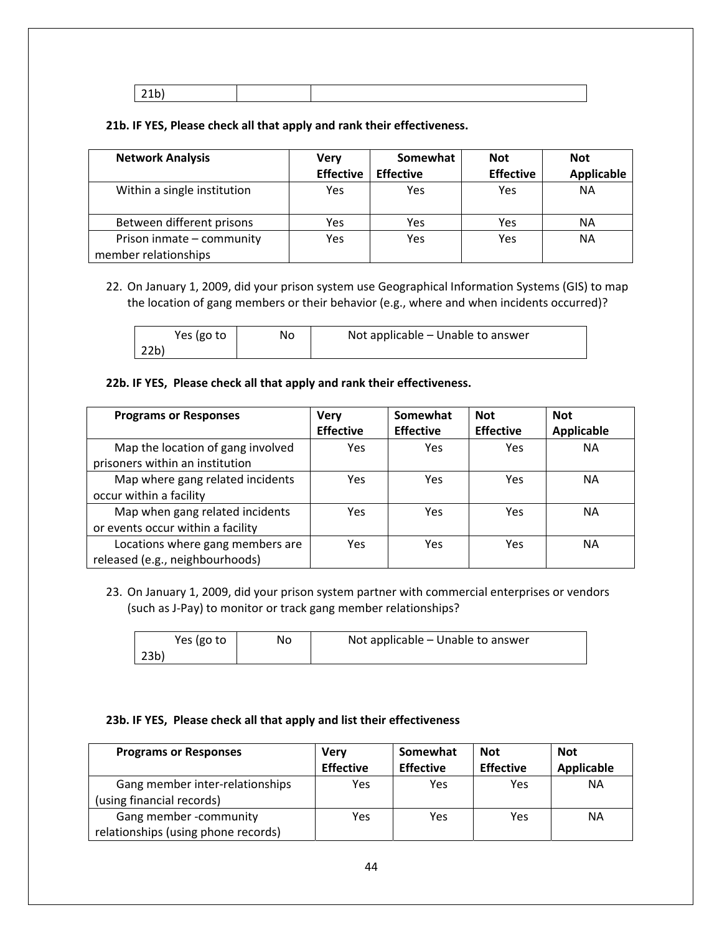21b)

## **21b. IF YES, Please check all that apply and rank their effectiveness.**

| <b>Network Analysis</b>                           | Very             | Somewhat         | <b>Not</b>       | <b>Not</b>        |  |
|---------------------------------------------------|------------------|------------------|------------------|-------------------|--|
|                                                   | <b>Effective</b> | <b>Effective</b> | <b>Effective</b> | <b>Applicable</b> |  |
| Within a single institution                       | Yes              | Yes              | Yes              | <b>NA</b>         |  |
| Between different prisons                         | Yes              | Yes              | Yes              | NА                |  |
| Prison inmate - community<br>member relationships | Yes              | Yes              | Yes              | <b>NA</b>         |  |

22. On January 1, 2009, did your prison system use Geographical Information Systems (GIS) to map the location of gang members or their behavior (e.g., where and when incidents occurred)?

| Yes (go to | No | Not applicable – Unable to answer |
|------------|----|-----------------------------------|
| 22b)       |    |                                   |

#### **22b. IF YES, Please check all that apply and rank their effectiveness.**

| <b>Programs or Responses</b>      | <b>Very</b>      | Somewhat         | <b>Not</b>       | <b>Not</b>        |
|-----------------------------------|------------------|------------------|------------------|-------------------|
|                                   | <b>Effective</b> | <b>Effective</b> | <b>Effective</b> | <b>Applicable</b> |
| Map the location of gang involved | Yes              | Yes              | Yes              | <b>NA</b>         |
| prisoners within an institution   |                  |                  |                  |                   |
| Map where gang related incidents  | Yes              | Yes              | Yes              | <b>NA</b>         |
| occur within a facility           |                  |                  |                  |                   |
| Map when gang related incidents   | <b>Yes</b>       | Yes              | Yes              | <b>NA</b>         |
| or events occur within a facility |                  |                  |                  |                   |
| Locations where gang members are  | <b>Yes</b>       | Yes              | Yes              | <b>NA</b>         |
| released (e.g., neighbourhoods)   |                  |                  |                  |                   |

23. On January 1, 2009, did your prison system partner with commercial enterprises or vendors (such as J‐Pay) to monitor or track gang member relationships?

| Yes (go to      | No | Not applicable - Unable to answer |
|-----------------|----|-----------------------------------|
| 23 <sub>b</sub> |    |                                   |

#### **23b. IF YES, Please check all that apply and list their effectiveness**

| <b>Programs or Responses</b>                                  | Verv             | Somewhat         | <b>Not</b>       | Not        |
|---------------------------------------------------------------|------------------|------------------|------------------|------------|
|                                                               | <b>Effective</b> | <b>Effective</b> | <b>Effective</b> | Applicable |
| Gang member inter-relationships<br>(using financial records)  | Yes              | Yes              | Yes              | NΑ         |
| Gang member -community<br>relationships (using phone records) | Yes              | Yes              | Yes              | NΑ         |